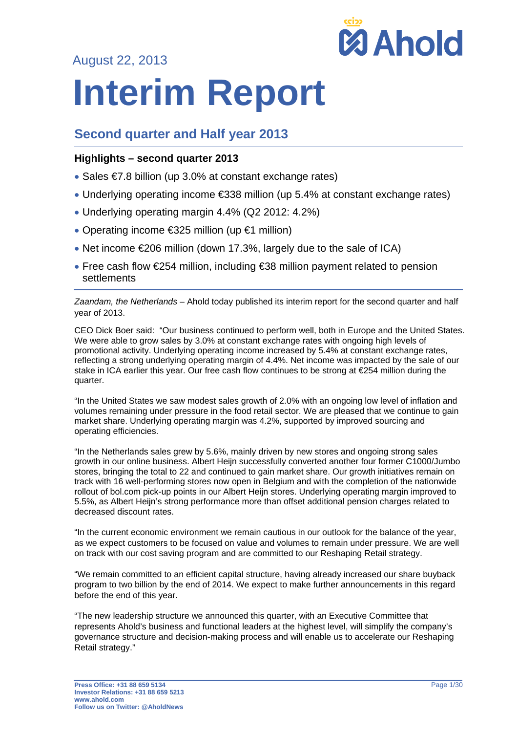August 22, 2013



# **Interim Report**

## **Second quarter and Half year 2013**

### **Highlights – second quarter 2013**

- Sales €7.8 billion (up 3.0% at constant exchange rates)
- Underlying operating income €338 million (up 5.4% at constant exchange rates)
- Underlying operating margin 4.4% (Q2 2012: 4.2%)
- Operating income €325 million (up €1 million)
- Net income  $\in 206$  million (down 17.3%, largely due to the sale of ICA)
- Free cash flow €254 million, including €38 million payment related to pension settlements

*Zaandam, the Netherlands* – Ahold today published its interim report for the second quarter and half year of 2013.

CEO Dick Boer said: "Our business continued to perform well, both in Europe and the United States. We were able to grow sales by 3.0% at constant exchange rates with ongoing high levels of promotional activity. Underlying operating income increased by 5.4% at constant exchange rates, reflecting a strong underlying operating margin of 4.4%. Net income was impacted by the sale of our stake in ICA earlier this year. Our free cash flow continues to be strong at €254 million during the quarter.

"In the United States we saw modest sales growth of 2.0% with an ongoing low level of inflation and volumes remaining under pressure in the food retail sector. We are pleased that we continue to gain market share. Underlying operating margin was 4.2%, supported by improved sourcing and operating efficiencies.

"In the Netherlands sales grew by 5.6%, mainly driven by new stores and ongoing strong sales growth in our online business. Albert Heijn successfully converted another four former C1000/Jumbo stores, bringing the total to 22 and continued to gain market share. Our growth initiatives remain on track with 16 well-performing stores now open in Belgium and with the completion of the nationwide rollout of bol.com pick-up points in our Albert Heijn stores. Underlying operating margin improved to 5.5%, as Albert Heijn's strong performance more than offset additional pension charges related to decreased discount rates.

"In the current economic environment we remain cautious in our outlook for the balance of the year, as we expect customers to be focused on value and volumes to remain under pressure. We are well on track with our cost saving program and are committed to our Reshaping Retail strategy.

"We remain committed to an efficient capital structure, having already increased our share buyback program to two billion by the end of 2014. We expect to make further announcements in this regard before the end of this year.

"The new leadership structure we announced this quarter, with an Executive Committee that represents Ahold's business and functional leaders at the highest level, will simplify the company's governance structure and decision-making process and will enable us to accelerate our Reshaping Retail strategy."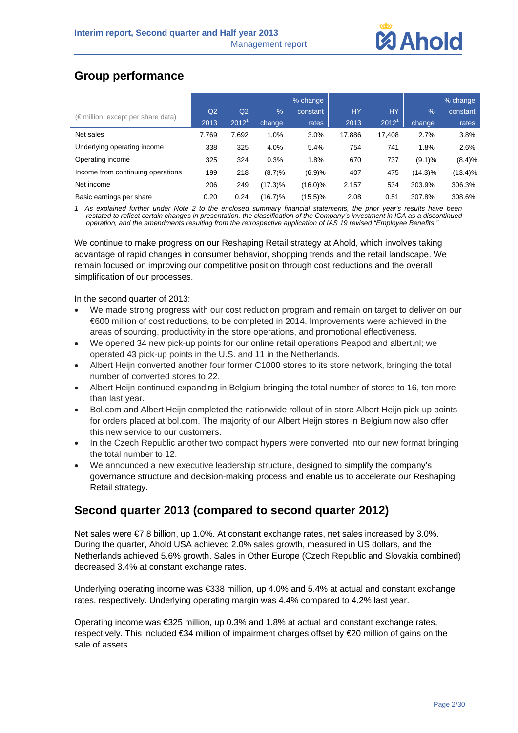

## **Group performance**

|                                             |       |                   |               | % change   |           |           |               | % change   |
|---------------------------------------------|-------|-------------------|---------------|------------|-----------|-----------|---------------|------------|
| $(\epsilon$ million, except per share data) | Q2    | Q <sub>2</sub>    | $\frac{9}{6}$ | constant   | <b>HY</b> | <b>HY</b> | $\frac{9}{6}$ | constant   |
|                                             | 2013  | 2012 <sup>1</sup> | change        | rates      | 2013      | $2012^1$  | change,       | rates      |
| Net sales                                   | 7.769 | 7,692             | 1.0%          | 3.0%       | 17,886    | 17,408    | 2.7%          | 3.8%       |
| Underlying operating income                 | 338   | 325               | 4.0%          | 5.4%       | 754       | 741       | 1.8%          | 2.6%       |
| Operating income                            | 325   | 324               | 0.3%          | 1.8%       | 670       | 737       | $(9.1)\%$     | (8.4)%     |
| Income from continuing operations           | 199   | 218               | (8.7)%        | (6.9)%     | 407       | 475       | (14.3)%       | $(13.4)\%$ |
| Net income                                  | 206   | 249               | (17.3)%       | (16.0)%    | 2,157     | 534       | 303.9%        | 306.3%     |
| Basic earnings per share                    | 0.20  | 0.24              | $(16.7)\%$    | $(15.5)\%$ | 2.08      | 0.51      | 307.8%        | 308.6%     |

*1 As explained further under Note 2 to the enclosed summary financial statements, the prior year's results have been restated to reflect certain changes in presentation, the classification of the Company's investment in ICA as a discontinued operation, and the amendments resulting from the retrospective application of IAS 19 revised "Employee Benefits."* 

We continue to make progress on our Reshaping Retail strategy at Ahold, which involves taking advantage of rapid changes in consumer behavior, shopping trends and the retail landscape. We remain focused on improving our competitive position through cost reductions and the overall simplification of our processes.

In the second quarter of 2013:

- We made strong progress with our cost reduction program and remain on target to deliver on our €600 million of cost reductions, to be completed in 2014. Improvements were achieved in the areas of sourcing, productivity in the store operations, and promotional effectiveness.
- We opened 34 new pick-up points for our online retail operations Peapod and albert.nl; we operated 43 pick-up points in the U.S. and 11 in the Netherlands.
- Albert Heijn converted another four former C1000 stores to its store network, bringing the total number of converted stores to 22.
- Albert Heijn continued expanding in Belgium bringing the total number of stores to 16, ten more than last year.
- Bol.com and Albert Heijn completed the nationwide rollout of in-store Albert Heijn pick-up points for orders placed at bol.com. The majority of our Albert Heijn stores in Belgium now also offer this new service to our customers.
- In the Czech Republic another two compact hypers were converted into our new format bringing the total number to 12.
- We announced a new executive leadership structure, designed to simplify the company's governance structure and decision-making process and enable us to accelerate our Reshaping Retail strategy.

## **Second quarter 2013 (compared to second quarter 2012)**

Net sales were €7.8 billion, up 1.0%. At constant exchange rates, net sales increased by 3.0%. During the quarter, Ahold USA achieved 2.0% sales growth, measured in US dollars, and the Netherlands achieved 5.6% growth. Sales in Other Europe (Czech Republic and Slovakia combined) decreased 3.4% at constant exchange rates.

Underlying operating income was €338 million, up 4.0% and 5.4% at actual and constant exchange rates, respectively. Underlying operating margin was 4.4% compared to 4.2% last year.

Operating income was €325 million, up 0.3% and 1.8% at actual and constant exchange rates, respectively. This included €34 million of impairment charges offset by €20 million of gains on the sale of assets.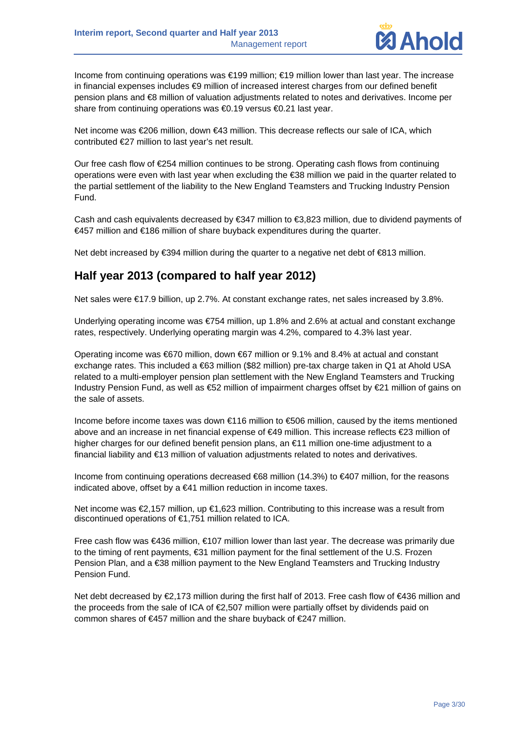

Income from continuing operations was €199 million; €19 million lower than last year. The increase in financial expenses includes €9 million of increased interest charges from our defined benefit pension plans and €8 million of valuation adjustments related to notes and derivatives. Income per share from continuing operations was €0.19 versus €0.21 last year.

Net income was €206 million, down €43 million. This decrease reflects our sale of ICA, which contributed €27 million to last year's net result.

Our free cash flow of €254 million continues to be strong. Operating cash flows from continuing operations were even with last year when excluding the €38 million we paid in the quarter related to the partial settlement of the liability to the New England Teamsters and Trucking Industry Pension Fund.

Cash and cash equivalents decreased by €347 million to €3,823 million, due to dividend payments of €457 million and €186 million of share buyback expenditures during the quarter.

Net debt increased by €394 million during the quarter to a negative net debt of €813 million.

## **Half year 2013 (compared to half year 2012)**

Net sales were €17.9 billion, up 2.7%. At constant exchange rates, net sales increased by 3.8%.

Underlying operating income was €754 million, up 1.8% and 2.6% at actual and constant exchange rates, respectively. Underlying operating margin was 4.2%, compared to 4.3% last year.

Operating income was €670 million, down €67 million or 9.1% and 8.4% at actual and constant exchange rates. This included a €63 million (\$82 million) pre-tax charge taken in Q1 at Ahold USA related to a multi-employer pension plan settlement with the New England Teamsters and Trucking Industry Pension Fund, as well as €52 million of impairment charges offset by €21 million of gains on the sale of assets.

Income before income taxes was down €116 million to €506 million, caused by the items mentioned above and an increase in net financial expense of €49 million. This increase reflects €23 million of higher charges for our defined benefit pension plans, an €11 million one-time adjustment to a financial liability and €13 million of valuation adjustments related to notes and derivatives.

Income from continuing operations decreased €68 million (14.3%) to €407 million, for the reasons indicated above, offset by a €41 million reduction in income taxes.

Net income was €2,157 million, up €1,623 million. Contributing to this increase was a result from discontinued operations of €1,751 million related to ICA.

Free cash flow was €436 million, €107 million lower than last year. The decrease was primarily due to the timing of rent payments, €31 million payment for the final settlement of the U.S. Frozen Pension Plan, and a €38 million payment to the New England Teamsters and Trucking Industry Pension Fund.

Net debt decreased by €2,173 million during the first half of 2013. Free cash flow of €436 million and the proceeds from the sale of ICA of €2,507 million were partially offset by dividends paid on common shares of €457 million and the share buyback of €247 million.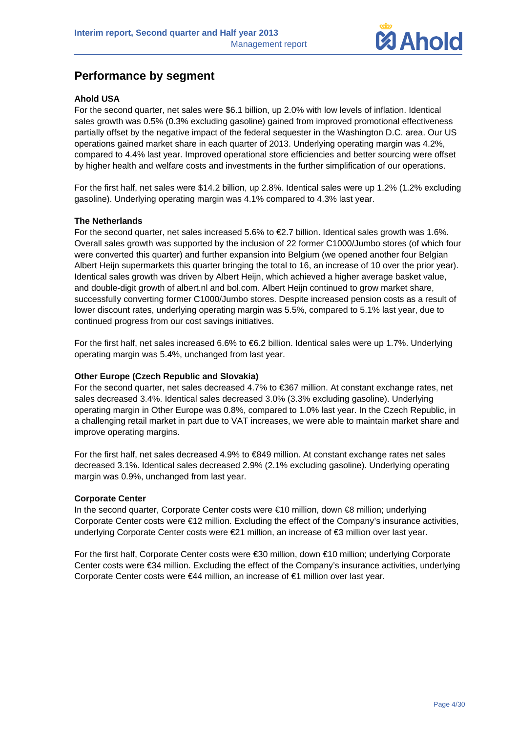

## **Performance by segment**

### **Ahold USA**

For the second quarter, net sales were \$6.1 billion, up 2.0% with low levels of inflation. Identical sales growth was 0.5% (0.3% excluding gasoline) gained from improved promotional effectiveness partially offset by the negative impact of the federal sequester in the Washington D.C. area. Our US operations gained market share in each quarter of 2013. Underlying operating margin was 4.2%, compared to 4.4% last year. Improved operational store efficiencies and better sourcing were offset by higher health and welfare costs and investments in the further simplification of our operations.

For the first half, net sales were \$14.2 billion, up 2.8%. Identical sales were up 1.2% (1.2% excluding gasoline). Underlying operating margin was 4.1% compared to 4.3% last year.

### **The Netherlands**

For the second quarter, net sales increased 5.6% to €2.7 billion. Identical sales growth was 1.6%. Overall sales growth was supported by the inclusion of 22 former C1000/Jumbo stores (of which four were converted this quarter) and further expansion into Belgium (we opened another four Belgian Albert Heijn supermarkets this quarter bringing the total to 16, an increase of 10 over the prior year). Identical sales growth was driven by Albert Heijn, which achieved a higher average basket value, and double-digit growth of albert.nl and bol.com. Albert Heijn continued to grow market share, successfully converting former C1000/Jumbo stores. Despite increased pension costs as a result of lower discount rates, underlying operating margin was 5.5%, compared to 5.1% last year, due to continued progress from our cost savings initiatives.

For the first half, net sales increased 6.6% to €6.2 billion. Identical sales were up 1.7%. Underlying operating margin was 5.4%, unchanged from last year.

### **Other Europe (Czech Republic and Slovakia)**

For the second quarter, net sales decreased 4.7% to €367 million. At constant exchange rates, net sales decreased 3.4%. Identical sales decreased 3.0% (3.3% excluding gasoline). Underlying operating margin in Other Europe was 0.8%, compared to 1.0% last year. In the Czech Republic, in a challenging retail market in part due to VAT increases, we were able to maintain market share and improve operating margins.

For the first half, net sales decreased 4.9% to €849 million. At constant exchange rates net sales decreased 3.1%. Identical sales decreased 2.9% (2.1% excluding gasoline). Underlying operating margin was 0.9%, unchanged from last year.

### **Corporate Center**

In the second quarter, Corporate Center costs were €10 million, down €8 million; underlying Corporate Center costs were €12 million. Excluding the effect of the Company's insurance activities, underlying Corporate Center costs were €21 million, an increase of €3 million over last year.

For the first half, Corporate Center costs were €30 million, down €10 million; underlying Corporate Center costs were €34 million. Excluding the effect of the Company's insurance activities, underlying Corporate Center costs were €44 million, an increase of €1 million over last year.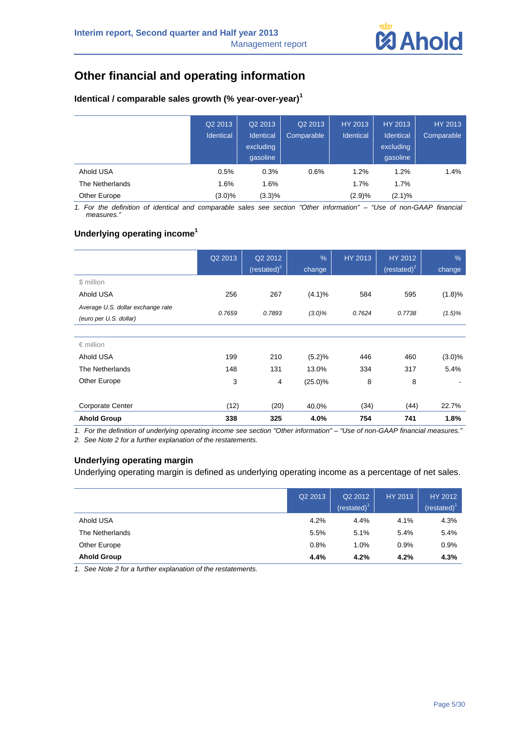## **Other financial and operating information**

### **Identical / comparable sales growth (% year-over-year)<sup>1</sup>**

|                 | Q2 2013<br>Identical | Q2 2013<br>Identical<br>excluding<br>qasoline | Q2 2013<br>Comparable | HY 2013<br>Identical | HY 2013<br>Identical<br>excluding<br>gasoline | HY 2013<br>Comparable |
|-----------------|----------------------|-----------------------------------------------|-----------------------|----------------------|-----------------------------------------------|-----------------------|
| Ahold USA       | 0.5%                 | 0.3%                                          | 0.6%                  | 1.2%                 | 1.2%                                          | 1.4%                  |
| The Netherlands | 1.6%                 | 1.6%                                          |                       | 1.7%                 | 1.7%                                          |                       |
| Other Europe    | $(3.0)\%$            | (3.3)%                                        |                       | (2.9)%               | $(2.1)\%$                                     |                       |

*1. For the definition of identical and comparable sales see section "Other information" – "Use of non-GAAP financial measures."* 

### **Underlying operating income<sup>1</sup>**

|                                                             | Q2 2013 | Q2 2012<br>(restated) $2$ | $\frac{9}{6}$<br>change | <b>HY 2013</b> | <b>HY 2012</b><br>(restated) $2$ | $\%$<br>change |
|-------------------------------------------------------------|---------|---------------------------|-------------------------|----------------|----------------------------------|----------------|
| \$ million                                                  |         |                           |                         |                |                                  |                |
| Ahold USA                                                   | 256     | 267                       | (4.1)%                  | 584            | 595                              | (1.8)%         |
| Average U.S. dollar exchange rate<br>(euro per U.S. dollar) | 0.7659  | 0.7893                    | $(3.0)\%$               | 0.7624         | 0.7738                           | $(1.5)\%$      |
|                                                             |         |                           |                         |                |                                  |                |
| $\epsilon$ million                                          |         |                           |                         |                |                                  |                |
| Ahold USA                                                   | 199     | 210                       | (5.2)%                  | 446            | 460                              | $(3.0)\%$      |
| The Netherlands                                             | 148     | 131                       | 13.0%                   | 334            | 317                              | 5.4%           |
| Other Europe                                                | 3       | 4                         | $(25.0)\%$              | 8              | 8                                |                |
| Corporate Center                                            | (12)    | (20)                      | 40.0%                   | (34)           | (44)                             | 22.7%          |
| <b>Ahold Group</b>                                          | 338     | 325                       | 4.0%                    | 754            | 741                              | 1.8%           |

*1. For the definition of underlying operating income see section "Other information" – "Use of non-GAAP financial measures."* 

*2. See Note 2 for a further explanation of the restatements.* 

### **Underlying operating margin**

Underlying operating margin is defined as underlying operating income as a percentage of net sales.

|                    | Q2 2013 | Q2 2012<br>$(rested)^1$ | HY 2013 | HY 2012<br>(rested) <sup>1</sup> |
|--------------------|---------|-------------------------|---------|----------------------------------|
| Ahold USA          | 4.2%    | 4.4%                    | 4.1%    | 4.3%                             |
| The Netherlands    | 5.5%    | 5.1%                    | 5.4%    | 5.4%                             |
| Other Europe       | 0.8%    | 1.0%                    | 0.9%    | 0.9%                             |
| <b>Ahold Group</b> | 4.4%    | 4.2%                    | 4.2%    | 4.3%                             |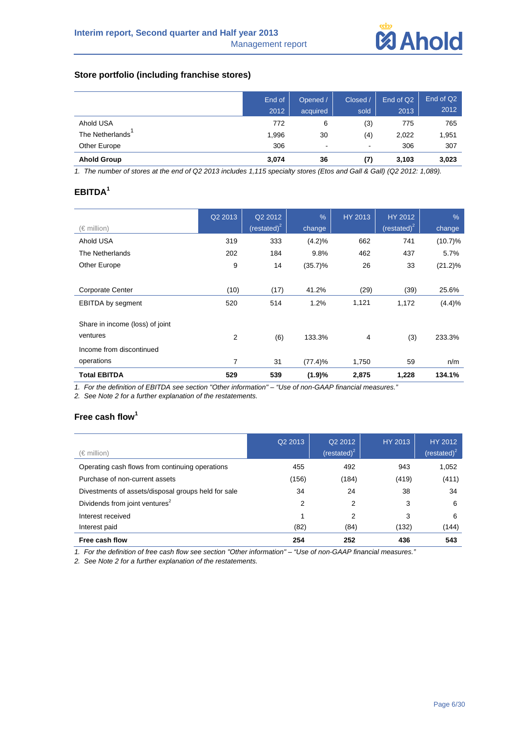

### **Store portfolio (including franchise stores)**

|                    | End of<br>2012 | Opened /<br>acquired     | Closed /<br>sold | End of Q2<br>2013 | End of Q <sub>2</sub><br>2012 |
|--------------------|----------------|--------------------------|------------------|-------------------|-------------------------------|
| Ahold USA          | 772            | 6                        | (3)              | 775               | 765                           |
| The Netherlands    | 1,996          | 30                       | (4)              | 2,022             | 1,951                         |
| Other Europe       | 306            | $\overline{\phantom{a}}$ | $\blacksquare$   | 306               | 307                           |
| <b>Ahold Group</b> | 3,074          | 36                       | (7)              | 3,103             | 3,023                         |

*1. The number of stores at the end of Q2 2013 includes 1,115 specialty stores (Etos and Gall & Gall) (Q2 2012: 1,089).* 

### **EBITDA<sup>1</sup>**

| (€ million)                                 | Q2 2013 | Q2 2012<br>(restated) $2$ | $\frac{9}{6}$<br>change | <b>HY 2013</b> | <b>HY 2012</b><br>(restated) $2$ | $\frac{9}{6}$<br>change |
|---------------------------------------------|---------|---------------------------|-------------------------|----------------|----------------------------------|-------------------------|
| Ahold USA                                   | 319     | 333                       | (4.2)%                  | 662            | 741                              | $(10.7)\%$              |
| The Netherlands                             | 202     | 184                       | 9.8%                    | 462            | 437                              | 5.7%                    |
| Other Europe                                | 9       | 14                        | $(35.7)\%$              | 26             | 33                               | $(21.2)\%$              |
|                                             |         |                           |                         |                |                                  |                         |
| <b>Corporate Center</b>                     | (10)    | (17)                      | 41.2%                   | (29)           | (39)                             | 25.6%                   |
| <b>EBITDA</b> by segment                    | 520     | 514                       | 1.2%                    | 1,121          | 1,172                            | (4.4)%                  |
| Share in income (loss) of joint<br>ventures | 2       | (6)                       | 133.3%                  | 4              | (3)                              | 233.3%                  |
| Income from discontinued                    |         |                           |                         |                |                                  |                         |
| operations                                  | 7       | 31                        | (77.4)%                 | 1,750          | 59                               | n/m                     |
| <b>Total EBITDA</b>                         | 529     | 539                       | (1.9)%                  | 2,875          | 1,228                            | 134.1%                  |

*1. For the definition of EBITDA see section "Other information" – "Use of non-GAAP financial measures."* 

*2. See Note 2 for a further explanation of the restatements.* 

### **Free cash flow<sup>1</sup>**

| (€ million)                                         | Q2 2013 | Q <sub>2</sub> 2012<br>(restated) $2$ | HY 2013 | HY 2012<br>(restated) $2$ |
|-----------------------------------------------------|---------|---------------------------------------|---------|---------------------------|
| Operating cash flows from continuing operations     | 455     | 492                                   | 943     | 1,052                     |
| Purchase of non-current assets                      | (156)   | (184)                                 | (419)   | (411)                     |
| Divestments of assets/disposal groups held for sale | 34      | 24                                    | 38      | 34                        |
| Dividends from joint ventures <sup>2</sup>          | 2       | 2                                     | 3       | 6                         |
| Interest received                                   |         | 2                                     | 3       | 6                         |
| Interest paid                                       | (82)    | (84)                                  | (132)   | (144)                     |
| Free cash flow                                      | 254     | 252                                   | 436     | 543                       |

*1. For the definition of free cash flow see section "Other information" – "Use of non-GAAP financial measures."*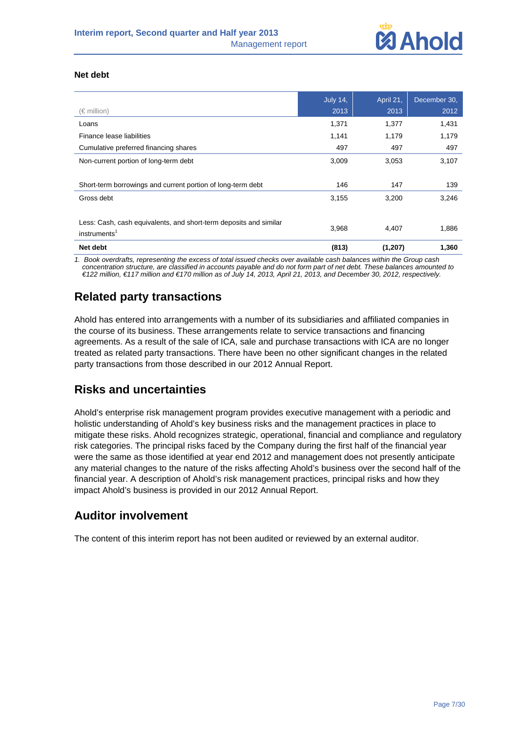

### **Net debt**

|                                                                                               | <b>July 14.</b> | April 21, | December 30, |
|-----------------------------------------------------------------------------------------------|-----------------|-----------|--------------|
| (€ million)                                                                                   | 2013            | 2013      | 2012         |
| Loans                                                                                         | 1,371           | 1,377     | 1,431        |
| Finance lease liabilities                                                                     | 1,141           | 1,179     | 1,179        |
| Cumulative preferred financing shares                                                         | 497             | 497       | 497          |
| Non-current portion of long-term debt                                                         | 3,009           | 3,053     | 3,107        |
|                                                                                               |                 |           |              |
| Short-term borrowings and current portion of long-term debt                                   | 146             | 147       | 139          |
| Gross debt                                                                                    | 3,155           | 3,200     | 3,246        |
|                                                                                               |                 |           |              |
| Less: Cash, cash equivalents, and short-term deposits and similar<br>instruments <sup>1</sup> | 3,968           | 4,407     | 1,886        |
| Net debt                                                                                      | (813)           | (1,207)   | 1,360        |

*1. Book overdrafts, representing the excess of total issued checks over available cash balances within the Group cash concentration structure, are classified in accounts payable and do not form part of net debt. These balances amounted to €122 million, €117 million and €170 million as of July 14, 2013, April 21, 2013, and December 30, 2012, respectively.* 

## **Related party transactions**

Ahold has entered into arrangements with a number of its subsidiaries and affiliated companies in the course of its business. These arrangements relate to service transactions and financing agreements. As a result of the sale of ICA, sale and purchase transactions with ICA are no longer treated as related party transactions. There have been no other significant changes in the related party transactions from those described in our 2012 Annual Report.

## **Risks and uncertainties**

Ahold's enterprise risk management program provides executive management with a periodic and holistic understanding of Ahold's key business risks and the management practices in place to mitigate these risks. Ahold recognizes strategic, operational, financial and compliance and regulatory risk categories. The principal risks faced by the Company during the first half of the financial year were the same as those identified at year end 2012 and management does not presently anticipate any material changes to the nature of the risks affecting Ahold's business over the second half of the financial year. A description of Ahold's risk management practices, principal risks and how they impact Ahold's business is provided in our 2012 Annual Report.

## **Auditor involvement**

The content of this interim report has not been audited or reviewed by an external auditor.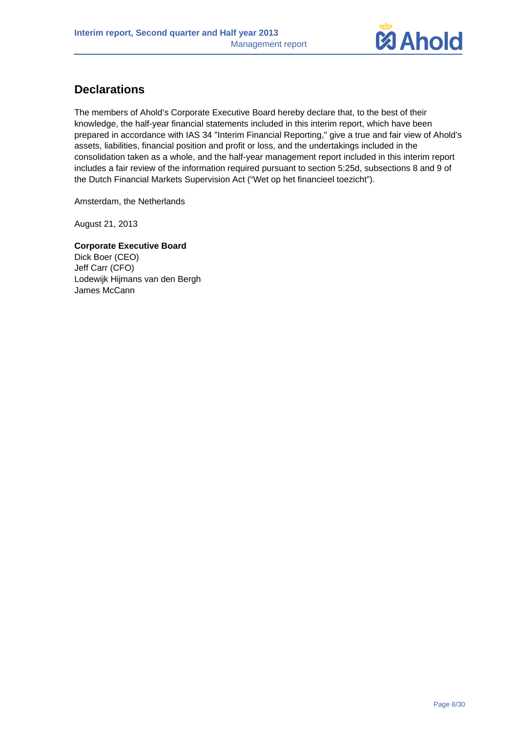

## **Declarations**

The members of Ahold's Corporate Executive Board hereby declare that, to the best of their knowledge, the half-year financial statements included in this interim report, which have been prepared in accordance with IAS 34 "Interim Financial Reporting," give a true and fair view of Ahold's assets, liabilities, financial position and profit or loss, and the undertakings included in the consolidation taken as a whole, and the half-year management report included in this interim report includes a fair review of the information required pursuant to section 5:25d, subsections 8 and 9 of the Dutch Financial Markets Supervision Act ("Wet op het financieel toezicht").

Amsterdam, the Netherlands

August 21, 2013

### **Corporate Executive Board**

Dick Boer (CEO) Jeff Carr (CFO) Lodewijk Hijmans van den Bergh James McCann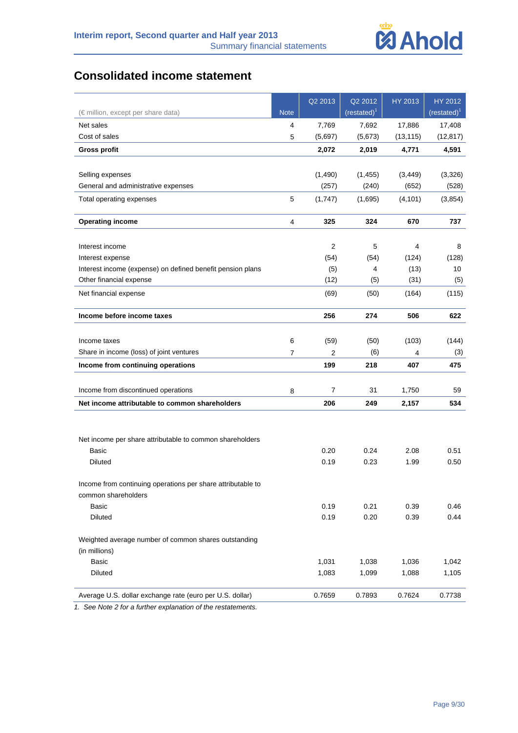

## **Consolidated income statement**

|                                                             |                | Q2 2013 | Q2 2012        | HY 2013   | HY 2012        |
|-------------------------------------------------------------|----------------|---------|----------------|-----------|----------------|
| (€ million, except per share data)                          | <b>Note</b>    |         | $(restated)^1$ |           | $(restated)^1$ |
| Net sales                                                   | 4              | 7,769   | 7,692          | 17,886    | 17,408         |
| Cost of sales                                               | 5              | (5,697) | (5,673)        | (13, 115) | (12, 817)      |
| <b>Gross profit</b>                                         |                | 2,072   | 2,019          | 4,771     | 4,591          |
|                                                             |                |         |                |           |                |
| Selling expenses                                            |                | (1,490) | (1,455)        | (3, 449)  | (3,326)        |
| General and administrative expenses                         |                | (257)   | (240)          | (652)     | (528)          |
| Total operating expenses                                    | 5              | (1,747) | (1,695)        | (4, 101)  | (3,854)        |
| <b>Operating income</b>                                     | $\overline{4}$ | 325     | 324            | 670       | 737            |
|                                                             |                |         |                |           |                |
| Interest income                                             |                | 2       | 5              | 4         | 8              |
| Interest expense                                            |                | (54)    | (54)           | (124)     | (128)          |
| Interest income (expense) on defined benefit pension plans  |                | (5)     | 4              | (13)      | 10             |
| Other financial expense                                     |                | (12)    | (5)            | (31)      | (5)            |
| Net financial expense                                       |                | (69)    | (50)           | (164)     | (115)          |
| Income before income taxes                                  |                | 256     | 274            | 506       | 622            |
|                                                             |                |         |                |           |                |
| Income taxes                                                | 6              | (59)    | (50)           | (103)     | (144)          |
| Share in income (loss) of joint ventures                    | $\overline{7}$ | 2       | (6)            | 4         | (3)            |
| Income from continuing operations                           |                | 199     | 218            | 407       | 475            |
| Income from discontinued operations                         | 8              | 7       | 31             | 1,750     | 59             |
| Net income attributable to common shareholders              |                | 206     | 249            | 2,157     | 534            |
|                                                             |                |         |                |           |                |
|                                                             |                |         |                |           |                |
| Net income per share attributable to common shareholders    |                |         |                |           |                |
| <b>Basic</b>                                                |                | 0.20    | 0.24           | 2.08      | 0.51           |
| <b>Diluted</b>                                              |                | 0.19    | 0.23           | 1.99      | 0.50           |
| Income from continuing operations per share attributable to |                |         |                |           |                |
| common shareholders                                         |                |         |                |           |                |
| <b>Basic</b>                                                |                | 0.19    | 0.21           | 0.39      | 0.46           |
| <b>Diluted</b>                                              |                | 0.19    | 0.20           | 0.39      | 0.44           |
| Weighted average number of common shares outstanding        |                |         |                |           |                |
| (in millions)                                               |                |         |                |           |                |
| Basic                                                       |                | 1,031   | 1,038          | 1,036     | 1,042          |
| <b>Diluted</b>                                              |                | 1,083   | 1,099          | 1,088     | 1,105          |
|                                                             |                |         |                |           |                |
| Average U.S. dollar exchange rate (euro per U.S. dollar)    |                | 0.7659  | 0.7893         | 0.7624    | 0.7738         |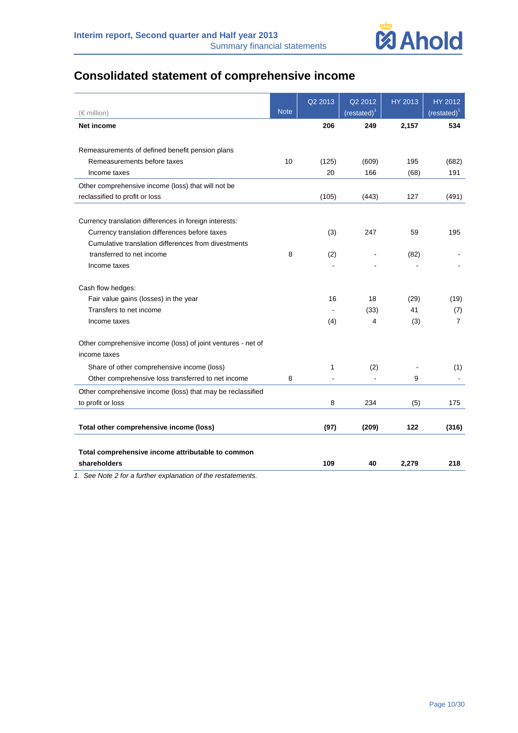

## **Consolidated statement of comprehensive income**

|                                                              |             | Q2 2013        | Q2 2012                 | <b>HY 2013</b> | <b>HY 2012</b> |
|--------------------------------------------------------------|-------------|----------------|-------------------------|----------------|----------------|
| $(\in$ million)                                              | <b>Note</b> |                | (restated) <sup>1</sup> |                | $(restated)^1$ |
| Net income                                                   |             | 206            | 249                     | 2,157          | 534            |
|                                                              |             |                |                         |                |                |
| Remeasurements of defined benefit pension plans              |             |                |                         |                |                |
| Remeasurements before taxes                                  | 10          | (125)          | (609)                   | 195            | (682)          |
| Income taxes                                                 |             | 20             | 166                     | (68)           | 191            |
| Other comprehensive income (loss) that will not be           |             |                |                         |                |                |
| reclassified to profit or loss                               |             | (105)          | (443)                   | 127            | (491)          |
|                                                              |             |                |                         |                |                |
| Currency translation differences in foreign interests:       |             |                |                         |                |                |
| Currency translation differences before taxes                |             | (3)            | 247                     | 59             | 195            |
| Cumulative translation differences from divestments          |             |                |                         |                |                |
| transferred to net income                                    | 8           | (2)            |                         | (82)           |                |
| Income taxes                                                 |             |                |                         |                |                |
| Cash flow hedges:                                            |             |                |                         |                |                |
| Fair value gains (losses) in the year                        |             | 16             | 18                      | (29)           | (19)           |
| Transfers to net income                                      |             |                | (33)                    | 41             | (7)            |
| Income taxes                                                 |             | (4)            | 4                       | (3)            | $\overline{7}$ |
| Other comprehensive income (loss) of joint ventures - net of |             |                |                         |                |                |
| income taxes                                                 |             |                |                         |                |                |
| Share of other comprehensive income (loss)                   |             | 1              | (2)                     |                | (1)            |
| Other comprehensive loss transferred to net income           | 8           | $\blacksquare$ |                         | 9              |                |
| Other comprehensive income (loss) that may be reclassified   |             |                |                         |                |                |
| to profit or loss                                            |             | 8              | 234                     | (5)            | 175            |
|                                                              |             |                |                         |                |                |
| Total other comprehensive income (loss)                      |             | (97)           | (209)                   | 122            | (316)          |
| Total comprehensive income attributable to common            |             |                |                         |                |                |
| shareholders                                                 |             | 109            | 40                      | 2,279          | 218            |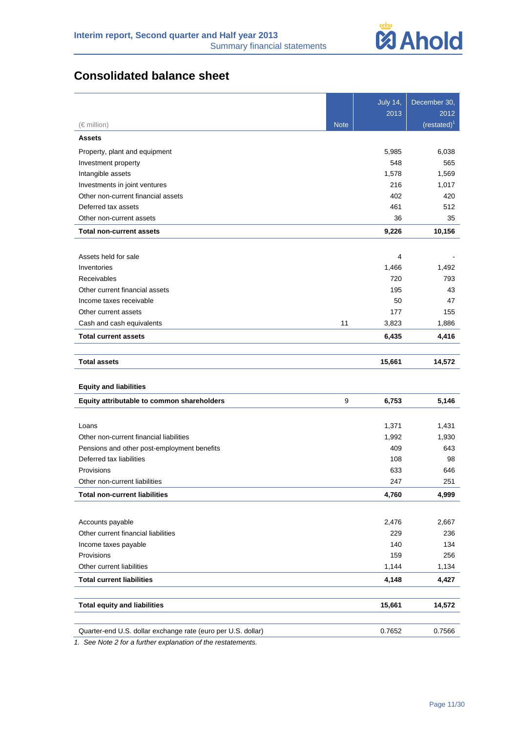

## **Consolidated balance sheet**

|                                                              |             | <b>July 14,</b> | December 30,   |
|--------------------------------------------------------------|-------------|-----------------|----------------|
|                                                              |             | 2013            | 2012           |
| $(\in$ million)                                              | <b>Note</b> |                 | $(restated)^1$ |
| <b>Assets</b>                                                |             |                 |                |
| Property, plant and equipment                                |             | 5,985           | 6,038          |
| Investment property                                          |             | 548             | 565            |
| Intangible assets                                            |             | 1,578           | 1,569          |
| Investments in joint ventures                                |             | 216             | 1,017          |
| Other non-current financial assets                           |             | 402             | 420            |
| Deferred tax assets                                          |             | 461             | 512            |
| Other non-current assets                                     |             | 36              | 35             |
| <b>Total non-current assets</b>                              |             | 9,226           | 10,156         |
|                                                              |             |                 |                |
| Assets held for sale                                         |             | 4               |                |
| Inventories                                                  |             | 1,466           | 1,492          |
| <b>Receivables</b>                                           |             | 720             | 793            |
| Other current financial assets                               |             | 195             | 43             |
| Income taxes receivable                                      |             | 50              | 47             |
| Other current assets                                         |             | 177             | 155            |
| Cash and cash equivalents                                    | 11          | 3,823           | 1,886          |
| <b>Total current assets</b>                                  |             | 6,435           | 4,416          |
| <b>Total assets</b>                                          |             | 15,661          | 14,572         |
|                                                              |             |                 |                |
| <b>Equity and liabilities</b>                                |             |                 |                |
| Equity attributable to common shareholders                   | 9           | 6,753           | 5,146          |
|                                                              |             |                 |                |
| Loans                                                        |             | 1,371           | 1,431          |
| Other non-current financial liabilities                      |             | 1,992           | 1,930          |
| Pensions and other post-employment benefits                  |             | 409             | 643            |
| Deferred tax liabilities                                     |             | 108             | 98             |
| Provisions                                                   |             | 633             | 646            |
| Other non-current liabilities                                |             | 247             | 251            |
| <b>Total non-current liabilities</b>                         |             | 4,760           | 4,999          |
|                                                              |             |                 |                |
| Accounts payable                                             |             | 2,476           | 2,667          |
| Other current financial liabilities                          |             | 229             | 236            |
| Income taxes payable                                         |             | 140             | 134            |
| Provisions                                                   |             | 159             | 256            |
| Other current liabilities                                    |             | 1,144           | 1,134          |
| <b>Total current liabilities</b>                             |             | 4,148           | 4,427          |
|                                                              |             |                 |                |
| <b>Total equity and liabilities</b>                          |             | 15,661          | 14,572         |
| Quarter-end U.S. dollar exchange rate (euro per U.S. dollar) |             | 0.7652          | 0.7566         |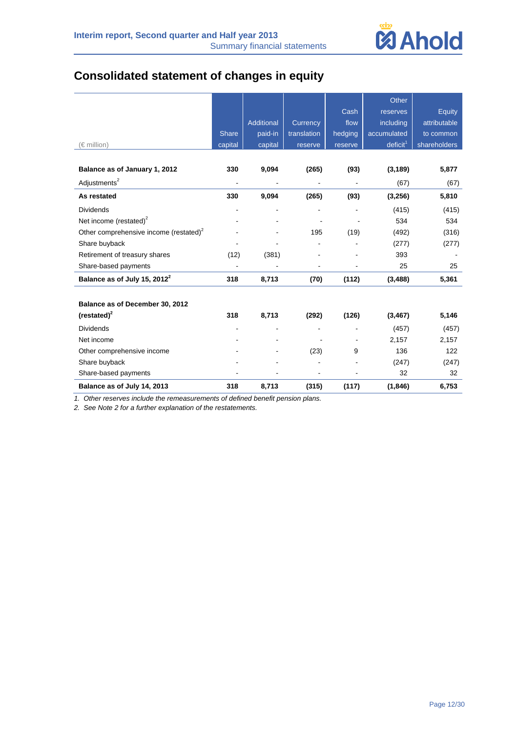

## **Consolidated statement of changes in equity**

|                                                    |                |                |                              |                          | <b>Other</b>         |               |
|----------------------------------------------------|----------------|----------------|------------------------------|--------------------------|----------------------|---------------|
|                                                    |                |                |                              | Cash                     | reserves             | <b>Equity</b> |
|                                                    |                | Additional     | Currency                     | flow                     | including            | attributable  |
|                                                    | <b>Share</b>   | paid-in        | translation                  | hedging                  | accumulated          | to common     |
| $(\in$ million)                                    | capital        | capital        | reserve                      | reserve                  | deficit <sup>1</sup> | shareholders  |
|                                                    |                |                |                              |                          |                      |               |
| Balance as of January 1, 2012                      | 330            | 9,094          | (265)                        | (93)                     | (3, 189)             | 5,877         |
| Adjustments <sup>2</sup>                           | $\blacksquare$ | $\blacksquare$ | $\qquad \qquad \blacksquare$ | $\overline{\phantom{a}}$ | (67)                 | (67)          |
| As restated                                        | 330            | 9,094          | (265)                        | (93)                     | (3,256)              | 5,810         |
| <b>Dividends</b>                                   |                |                |                              |                          | (415)                | (415)         |
| Net income (restated) <sup>2</sup>                 |                |                |                              |                          | 534                  | 534           |
| Other comprehensive income (restated) <sup>2</sup> |                |                | 195                          | (19)                     | (492)                | (316)         |
| Share buyback                                      |                |                |                              |                          | (277)                | (277)         |
| Retirement of treasury shares                      | (12)           | (381)          |                              |                          | 393                  |               |
| Share-based payments                               |                |                |                              |                          | 25                   | 25            |
| Balance as of July 15, 2012 <sup>2</sup>           | 318            | 8,713          | (70)                         | (112)                    | (3, 488)             | 5,361         |
|                                                    |                |                |                              |                          |                      |               |
| Balance as of December 30, 2012                    |                |                |                              |                          |                      |               |
| $(restated)^2$                                     | 318            | 8,713          | (292)                        | (126)                    | (3, 467)             | 5,146         |
| <b>Dividends</b>                                   |                |                |                              |                          | (457)                | (457)         |
| Net income                                         |                |                |                              |                          | 2,157                | 2,157         |
| Other comprehensive income                         |                |                | (23)                         | 9                        | 136                  | 122           |
| Share buyback                                      |                |                |                              |                          | (247)                | (247)         |
| Share-based payments                               |                |                |                              |                          | 32                   | 32            |
| Balance as of July 14, 2013                        | 318            | 8,713          | (315)                        | (117)                    | (1, 846)             | 6,753         |

*1. Other reserves include the remeasurements of defined benefit pension plans.*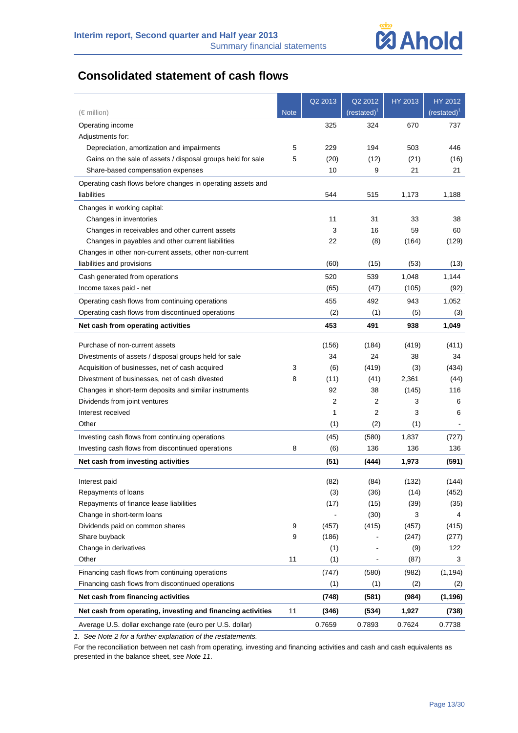

## **Consolidated statement of cash flows**

|                                                             |             | Q2 2013 | Q2 2012        | HY 2013 | <b>HY 2012</b> |
|-------------------------------------------------------------|-------------|---------|----------------|---------|----------------|
| $(\in$ million)                                             | <b>Note</b> |         | $(restated)^T$ |         | $(rested)^T$   |
| Operating income                                            |             | 325     | 324            | 670     | 737            |
| Adjustments for:                                            |             |         |                |         |                |
| Depreciation, amortization and impairments                  | 5           | 229     | 194            | 503     | 446            |
| Gains on the sale of assets / disposal groups held for sale | 5           | (20)    | (12)           | (21)    | (16)           |
| Share-based compensation expenses                           |             | 10      | 9              | 21      | 21             |
| Operating cash flows before changes in operating assets and |             |         |                |         |                |
| liabilities                                                 |             | 544     | 515            | 1,173   | 1,188          |
| Changes in working capital:                                 |             |         |                |         |                |
| Changes in inventories                                      |             | 11      | 31             | 33      | 38             |
| Changes in receivables and other current assets             |             | 3       | 16             | 59      | 60             |
| Changes in payables and other current liabilities           |             | 22      | (8)            | (164)   | (129)          |
| Changes in other non-current assets, other non-current      |             |         |                |         |                |
| liabilities and provisions                                  |             | (60)    | (15)           | (53)    | (13)           |
| Cash generated from operations                              |             | 520     | 539            | 1,048   | 1,144          |
| Income taxes paid - net                                     |             | (65)    | (47)           | (105)   | (92)           |
| Operating cash flows from continuing operations             |             | 455     | 492            | 943     | 1,052          |
| Operating cash flows from discontinued operations           |             | (2)     | (1)            | (5)     | (3)            |
| Net cash from operating activities                          |             | 453     | 491            | 938     | 1,049          |
| Purchase of non-current assets                              |             | (156)   | (184)          | (419)   | (411)          |
| Divestments of assets / disposal groups held for sale       |             | 34      | 24             | 38      | 34             |
| Acquisition of businesses, net of cash acquired             | 3           | (6)     | (419)          | (3)     | (434)          |
| Divestment of businesses, net of cash divested              | 8           | (11)    | (41)           | 2,361   | (44)           |
| Changes in short-term deposits and similar instruments      |             | 92      | 38             | (145)   | 116            |
| Dividends from joint ventures                               |             | 2       | 2              | 3       | 6              |
| Interest received                                           |             | 1       | 2              | 3       | 6              |
| Other                                                       |             | (1)     | (2)            | (1)     |                |
|                                                             |             |         |                |         |                |
| Investing cash flows from continuing operations             |             | (45)    | (580)          | 1,837   | (727)          |
| Investing cash flows from discontinued operations           | 8           | (6)     | 136            | 136     | 136            |
| Net cash from investing activities                          |             | (51)    | (444)          | 1,973   | (591)          |
| Interest paid                                               |             | (82)    | (84)           | (132)   | (144)          |
| Repayments of loans                                         |             | (3)     | (36)           | (14)    | (452)          |
| Repayments of finance lease liabilities                     |             | (17)    | (15)           | (39)    | (35)           |
| Change in short-term loans                                  |             |         | (30)           | 3       | 4              |
| Dividends paid on common shares                             | 9           | (457)   | (415)          | (457)   | (415)          |
| Share buyback                                               | 9           | (186)   |                | (247)   | (277)          |
| Change in derivatives                                       |             | (1)     |                | (9)     | 122            |
| Other                                                       | 11          | (1)     |                | (87)    | 3              |
| Financing cash flows from continuing operations             |             | (747)   | (580)          | (982)   | (1, 194)       |
| Financing cash flows from discontinued operations           |             | (1)     | (1)            | (2)     | (2)            |
| Net cash from financing activities                          |             | (748)   | (581)          | (984)   | (1, 196)       |
| Net cash from operating, investing and financing activities | 11          | (346)   | (534)          | 1,927   | (738)          |
| Average U.S. dollar exchange rate (euro per U.S. dollar)    |             | 0.7659  | 0.7893         | 0.7624  | 0.7738         |

*1. See Note 2 for a further explanation of the restatements.* 

For the reconciliation between net cash from operating, investing and financing activities and cash and cash equivalents as presented in the balance sheet, see *Note 11*.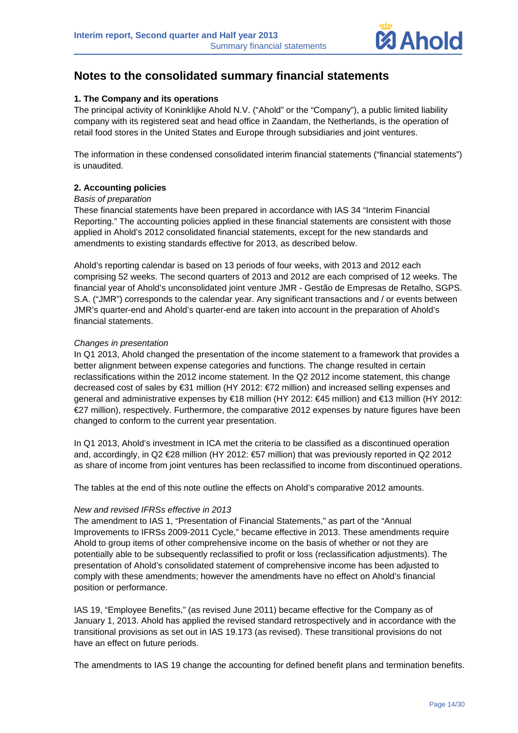

## **Notes to the consolidated summary financial statements**

### **1. The Company and its operations**

The principal activity of Koninklijke Ahold N.V. ("Ahold" or the "Company"), a public limited liability company with its registered seat and head office in Zaandam, the Netherlands, is the operation of retail food stores in the United States and Europe through subsidiaries and joint ventures.

The information in these condensed consolidated interim financial statements ("financial statements") is unaudited.

### **2. Accounting policies**

### *Basis of preparation*

These financial statements have been prepared in accordance with IAS 34 "Interim Financial Reporting." The accounting policies applied in these financial statements are consistent with those applied in Ahold's 2012 consolidated financial statements, except for the new standards and amendments to existing standards effective for 2013, as described below.

Ahold's reporting calendar is based on 13 periods of four weeks, with 2013 and 2012 each comprising 52 weeks. The second quarters of 2013 and 2012 are each comprised of 12 weeks. The financial year of Ahold's unconsolidated joint venture JMR - Gestão de Empresas de Retalho, SGPS. S.A. ("JMR") corresponds to the calendar year. Any significant transactions and / or events between JMR's quarter-end and Ahold's quarter-end are taken into account in the preparation of Ahold's financial statements.

### *Changes in presentation*

In Q1 2013, Ahold changed the presentation of the income statement to a framework that provides a better alignment between expense categories and functions. The change resulted in certain reclassifications within the 2012 income statement. In the Q2 2012 income statement, this change decreased cost of sales by €31 million (HY 2012: €72 million) and increased selling expenses and general and administrative expenses by €18 million (HY 2012: €45 million) and €13 million (HY 2012: €27 million), respectively. Furthermore, the comparative 2012 expenses by nature figures have been changed to conform to the current year presentation.

In Q1 2013, Ahold's investment in ICA met the criteria to be classified as a discontinued operation and, accordingly, in Q2  $\epsilon$ 28 million (HY 2012:  $\epsilon$ 57 million) that was previously reported in Q2 2012 as share of income from joint ventures has been reclassified to income from discontinued operations.

The tables at the end of this note outline the effects on Ahold's comparative 2012 amounts.

### *New and revised IFRSs effective in 2013*

The amendment to IAS 1, "Presentation of Financial Statements," as part of the "Annual Improvements to IFRSs 2009-2011 Cycle," became effective in 2013. These amendments require Ahold to group items of other comprehensive income on the basis of whether or not they are potentially able to be subsequently reclassified to profit or loss (reclassification adjustments). The presentation of Ahold's consolidated statement of comprehensive income has been adjusted to comply with these amendments; however the amendments have no effect on Ahold's financial position or performance.

IAS 19, "Employee Benefits," (as revised June 2011) became effective for the Company as of January 1, 2013. Ahold has applied the revised standard retrospectively and in accordance with the transitional provisions as set out in IAS 19.173 (as revised). These transitional provisions do not have an effect on future periods.

The amendments to IAS 19 change the accounting for defined benefit plans and termination benefits.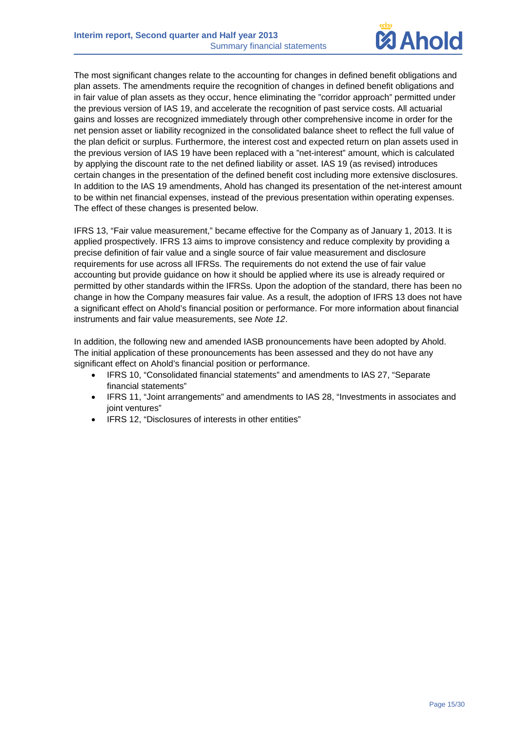

The most significant changes relate to the accounting for changes in defined benefit obligations and plan assets. The amendments require the recognition of changes in defined benefit obligations and in fair value of plan assets as they occur, hence eliminating the "corridor approach" permitted under the previous version of IAS 19, and accelerate the recognition of past service costs. All actuarial gains and losses are recognized immediately through other comprehensive income in order for the net pension asset or liability recognized in the consolidated balance sheet to reflect the full value of the plan deficit or surplus. Furthermore, the interest cost and expected return on plan assets used in the previous version of IAS 19 have been replaced with a "net-interest" amount, which is calculated by applying the discount rate to the net defined liability or asset. IAS 19 (as revised) introduces certain changes in the presentation of the defined benefit cost including more extensive disclosures. In addition to the IAS 19 amendments, Ahold has changed its presentation of the net-interest amount to be within net financial expenses, instead of the previous presentation within operating expenses. The effect of these changes is presented below.

IFRS 13, "Fair value measurement," became effective for the Company as of January 1, 2013. It is applied prospectively. IFRS 13 aims to improve consistency and reduce complexity by providing a precise definition of fair value and a single source of fair value measurement and disclosure requirements for use across all IFRSs. The requirements do not extend the use of fair value accounting but provide guidance on how it should be applied where its use is already required or permitted by other standards within the IFRSs. Upon the adoption of the standard, there has been no change in how the Company measures fair value. As a result, the adoption of IFRS 13 does not have a significant effect on Ahold's financial position or performance. For more information about financial instruments and fair value measurements, see *Note 12*.

In addition, the following new and amended IASB pronouncements have been adopted by Ahold. The initial application of these pronouncements has been assessed and they do not have any significant effect on Ahold's financial position or performance.

- IFRS 10, "Consolidated financial statements" and amendments to IAS 27, "Separate financial statements"
- IFRS 11, "Joint arrangements" and amendments to IAS 28, "Investments in associates and joint ventures"
- IFRS 12, "Disclosures of interests in other entities"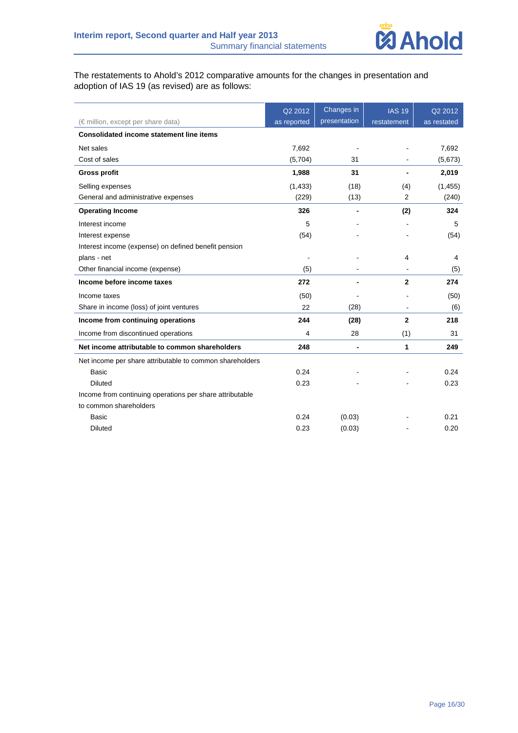

### The restatements to Ahold's 2012 comparative amounts for the changes in presentation and adoption of IAS 19 (as revised) are as follows:

|                                                          | Q2 2012     | Changes in   | <b>IAS 19</b>  | Q2 2012     |
|----------------------------------------------------------|-------------|--------------|----------------|-------------|
| (€ million, except per share data)                       | as reported | presentation | restatement    | as restated |
| <b>Consolidated income statement line items</b>          |             |              |                |             |
| Net sales                                                | 7,692       |              |                | 7,692       |
| Cost of sales                                            | (5,704)     | 31           |                | (5,673)     |
| <b>Gross profit</b>                                      | 1,988       | 31           |                | 2,019       |
| Selling expenses                                         | (1, 433)    | (18)         | (4)            | (1, 455)    |
| General and administrative expenses                      | (229)       | (13)         | $\overline{2}$ | (240)       |
| <b>Operating Income</b>                                  | 326         |              | (2)            | 324         |
| Interest income                                          | 5           |              |                | 5           |
| Interest expense                                         | (54)        |              |                | (54)        |
| Interest income (expense) on defined benefit pension     |             |              |                |             |
| plans - net                                              |             |              | 4              | 4           |
| Other financial income (expense)                         | (5)         |              |                | (5)         |
| Income before income taxes                               | 272         |              | $\mathbf{2}$   | 274         |
| Income taxes                                             | (50)        |              |                | (50)        |
| Share in income (loss) of joint ventures                 | 22          | (28)         |                | (6)         |
| Income from continuing operations                        | 244         | (28)         | $\mathbf{2}$   | 218         |
| Income from discontinued operations                      | 4           | 28           | (1)            | 31          |
| Net income attributable to common shareholders           | 248         |              | 1              | 249         |
| Net income per share attributable to common shareholders |             |              |                |             |
| <b>Basic</b>                                             | 0.24        |              |                | 0.24        |
| <b>Diluted</b>                                           | 0.23        |              |                | 0.23        |
| Income from continuing operations per share attributable |             |              |                |             |
| to common shareholders                                   |             |              |                |             |
| <b>Basic</b>                                             | 0.24        | (0.03)       |                | 0.21        |
| <b>Diluted</b>                                           | 0.23        | (0.03)       |                | 0.20        |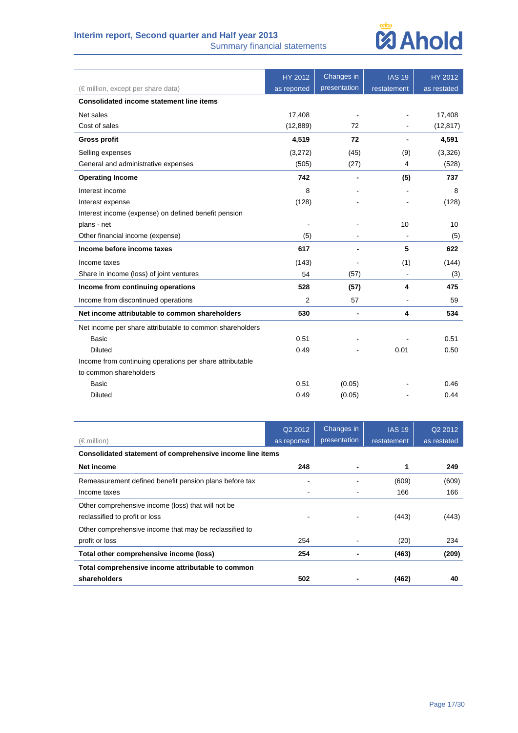### **Interim report, Second quarter and Half year 2013**

Summary financial statements

## **ØAhold**

|                                                          | <b>HY 2012</b> | Changes in               | <b>IAS 19</b>  | <b>HY 2012</b> |
|----------------------------------------------------------|----------------|--------------------------|----------------|----------------|
| (€ million, except per share data)                       | as reported    | presentation             | restatement    | as restated    |
| <b>Consolidated income statement line items</b>          |                |                          |                |                |
| Net sales                                                | 17,408         |                          |                | 17,408         |
| Cost of sales                                            | (12, 889)      | 72                       |                | (12, 817)      |
| <b>Gross profit</b>                                      | 4,519          | 72                       |                | 4,591          |
| Selling expenses                                         | (3,272)        | (45)                     | (9)            | (3,326)        |
| General and administrative expenses                      | (505)          | (27)                     | 4              | (528)          |
| <b>Operating Income</b>                                  | 742            | $\overline{\phantom{0}}$ | (5)            | 737            |
| Interest income                                          | 8              |                          |                | 8              |
| Interest expense                                         | (128)          |                          |                | (128)          |
| Interest income (expense) on defined benefit pension     |                |                          |                |                |
| plans - net                                              |                |                          | 10             | 10             |
| Other financial income (expense)                         | (5)            |                          |                | (5)            |
| Income before income taxes                               | 617            |                          | 5              | 622            |
| Income taxes                                             | (143)          |                          | (1)            | (144)          |
| Share in income (loss) of joint ventures                 | 54             | (57)                     |                | (3)            |
| Income from continuing operations                        | 528            | (57)                     | 4              | 475            |
| Income from discontinued operations                      | 2              | 57                       | $\blacksquare$ | 59             |
| Net income attributable to common shareholders           | 530            | $\overline{\phantom{a}}$ | 4              | 534            |
| Net income per share attributable to common shareholders |                |                          |                |                |
| <b>Basic</b>                                             | 0.51           |                          |                | 0.51           |
| <b>Diluted</b>                                           | 0.49           |                          | 0.01           | 0.50           |
| Income from continuing operations per share attributable |                |                          |                |                |
| to common shareholders                                   |                |                          |                |                |
| Basic                                                    | 0.51           | (0.05)                   |                | 0.46           |
| <b>Diluted</b>                                           | 0.49           | (0.05)                   |                | 0.44           |

|                                                           | Q2 2012     | Changes in   | <b>IAS 19</b> | Q2 2012     |  |  |
|-----------------------------------------------------------|-------------|--------------|---------------|-------------|--|--|
| $(\in$ million)                                           | as reported | presentation | restatement   | as restated |  |  |
| Consolidated statement of comprehensive income line items |             |              |               |             |  |  |
| Net income                                                | 248         |              |               | 249         |  |  |
| Remeasurement defined benefit pension plans before tax    |             |              | (609)         | (609)       |  |  |
| Income taxes                                              |             | ٠            | 166           | 166         |  |  |
| Other comprehensive income (loss) that will not be        |             |              |               |             |  |  |
| reclassified to profit or loss                            |             |              | (443)         | (443)       |  |  |
| Other comprehensive income that may be reclassified to    |             |              |               |             |  |  |
| profit or loss                                            | 254         |              | (20)          | 234         |  |  |
| Total other comprehensive income (loss)                   | 254         |              | (463)         | (209)       |  |  |
| Total comprehensive income attributable to common         |             |              |               |             |  |  |
| shareholders                                              | 502         |              | (462)         | 40          |  |  |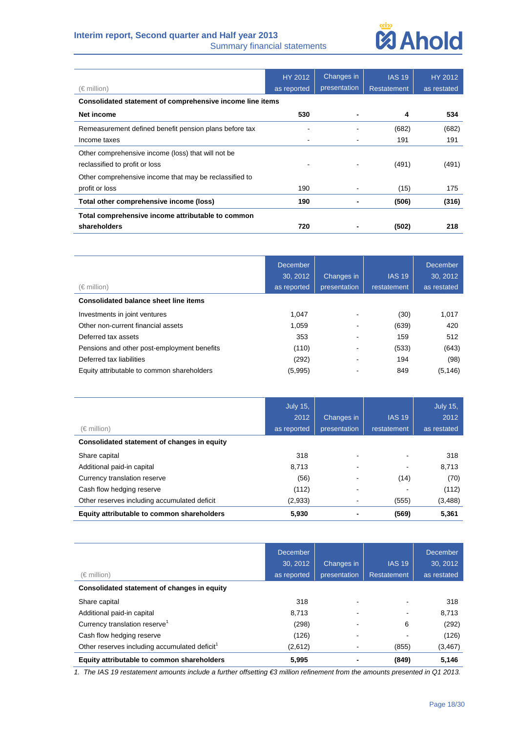### **Interim report, Second quarter and Half year 2013**

Summary financial statements

## **ØAhold**

|                                                           | <b>HY 2012</b> | Changes in   | <b>IAS 19</b>      | HY 2012     |
|-----------------------------------------------------------|----------------|--------------|--------------------|-------------|
| (€ million)                                               | as reported    | presentation | <b>Restatement</b> | as restated |
| Consolidated statement of comprehensive income line items |                |              |                    |             |
| Net income                                                | 530            |              | 4                  | 534         |
| Remeasurement defined benefit pension plans before tax    |                |              | (682)              | (682)       |
| Income taxes                                              |                |              | 191                | 191         |
| Other comprehensive income (loss) that will not be        |                |              |                    |             |
| reclassified to profit or loss                            |                |              | (491)              | (491)       |
| Other comprehensive income that may be reclassified to    |                |              |                    |             |
| profit or loss                                            | 190            |              | (15)               | 175         |
| Total other comprehensive income (loss)                   | 190            |              | (506)              | (316)       |
| Total comprehensive income attributable to common         |                |              |                    |             |
| shareholders                                              | 720            |              | (502)              | 218         |

| $(\in$ million)                              | December<br>30.2012<br>as reported | Changes in<br>presentation | <b>IAS 19</b><br>restatement | December<br>30, 2012<br>as restated |
|----------------------------------------------|------------------------------------|----------------------------|------------------------------|-------------------------------------|
| <b>Consolidated balance sheet line items</b> |                                    |                            |                              |                                     |
| Investments in joint ventures                | 1.047                              |                            | (30)                         | 1,017                               |
| Other non-current financial assets           | 1.059                              |                            | (639)                        | 420                                 |
| Deferred tax assets                          | 353                                | ٠                          | 159                          | 512                                 |
| Pensions and other post-employment benefits  | (110)                              | -                          | (533)                        | (643)                               |
| Deferred tax liabilities                     | (292)                              | $\overline{\phantom{a}}$   | 194                          | (98)                                |
| Equity attributable to common shareholders   | (5,995)                            |                            | 849                          | (5, 146)                            |

| (€ million)                                  | July 15,<br>2012<br>as reported | Changes in<br>presentation | <b>IAS 19</b><br>restatement | <b>July 15,</b><br>2012<br>as restated |
|----------------------------------------------|---------------------------------|----------------------------|------------------------------|----------------------------------------|
| Consolidated statement of changes in equity  |                                 |                            |                              |                                        |
| Share capital                                | 318                             | -                          |                              | 318                                    |
| Additional paid-in capital                   | 8,713                           |                            |                              | 8,713                                  |
| Currency translation reserve                 | (56)                            |                            | (14)                         | (70)                                   |
| Cash flow hedging reserve                    | (112)                           | $\overline{\phantom{a}}$   |                              | (112)                                  |
| Other reserves including accumulated deficit | (2,933)                         |                            | (555)                        | (3, 488)                               |
| Equity attributable to common shareholders   | 5,930                           |                            | (569)                        | 5,361                                  |

| (€ million)                                               | <b>December</b><br>30.2012<br>as reported | Changes in<br>presentation | <b>IAS 19</b><br>Restatement | <b>December</b><br>30, 2012<br>as restated |
|-----------------------------------------------------------|-------------------------------------------|----------------------------|------------------------------|--------------------------------------------|
| Consolidated statement of changes in equity               |                                           |                            |                              |                                            |
| Share capital                                             | 318                                       |                            |                              | 318                                        |
| Additional paid-in capital                                | 8.713                                     |                            |                              | 8,713                                      |
| Currency translation reserve <sup>1</sup>                 | (298)                                     | $\overline{\phantom{a}}$   | 6                            | (292)                                      |
| Cash flow hedging reserve                                 | (126)                                     |                            |                              | (126)                                      |
| Other reserves including accumulated deficit <sup>1</sup> | (2,612)                                   |                            | (855)                        | (3, 467)                                   |
| Equity attributable to common shareholders                | 5.995                                     |                            | (849)                        | 5,146                                      |

*1. The IAS 19 restatement amounts include a further offsetting €3 million refinement from the amounts presented in Q1 2013.*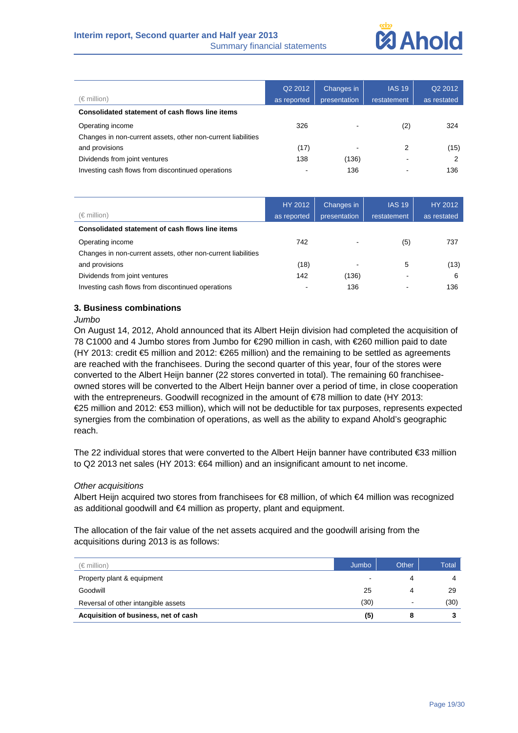

|                                                              | Q2 2012     | Changes in   | <b>IAS 19</b> | Q2 2012     |
|--------------------------------------------------------------|-------------|--------------|---------------|-------------|
| (€ million)                                                  | as reported | presentation | restatement   | as restated |
| Consolidated statement of cash flows line items              |             |              |               |             |
| Operating income                                             | 326         |              | (2)           | 324         |
| Changes in non-current assets, other non-current liabilities |             |              |               |             |
| and provisions                                               | (17)        |              | 2             | (15)        |
| Dividends from joint ventures                                | 138         | (136)        |               | 2           |
| Investing cash flows from discontinued operations            |             | 136          |               | 136         |

| $(\in$ million)                                              | HY 2012<br>as reported | Changes in<br>presentation | <b>IAS 19</b><br>restatement | HY 2012<br>as restated |
|--------------------------------------------------------------|------------------------|----------------------------|------------------------------|------------------------|
| Consolidated statement of cash flows line items              |                        |                            |                              |                        |
| Operating income                                             | 742                    |                            | (5)                          | 737                    |
| Changes in non-current assets, other non-current liabilities |                        |                            |                              |                        |
| and provisions                                               | (18)                   | -                          | 5                            | (13)                   |
| Dividends from joint ventures                                | 142                    | (136)                      |                              | 6                      |
| Investing cash flows from discontinued operations            |                        | 136                        |                              | 136                    |

### **3. Business combinations**

### *Jumbo*

On August 14, 2012, Ahold announced that its Albert Heijn division had completed the acquisition of 78 C1000 and 4 Jumbo stores from Jumbo for €290 million in cash, with €260 million paid to date (HY 2013: credit €5 million and 2012: €265 million) and the remaining to be settled as agreements are reached with the franchisees. During the second quarter of this year, four of the stores were converted to the Albert Heijn banner (22 stores converted in total). The remaining 60 franchiseeowned stores will be converted to the Albert Heijn banner over a period of time, in close cooperation with the entrepreneurs. Goodwill recognized in the amount of €78 million to date (HY 2013: €25 million and 2012: €53 million), which will not be deductible for tax purposes, represents expected synergies from the combination of operations, as well as the ability to expand Ahold's geographic reach.

The 22 individual stores that were converted to the Albert Heijn banner have contributed €33 million to Q2 2013 net sales (HY 2013: €64 million) and an insignificant amount to net income.

### *Other acquisitions*

Albert Heijn acquired two stores from franchisees for €8 million, of which €4 million was recognized as additional goodwill and €4 million as property, plant and equipment.

The allocation of the fair value of the net assets acquired and the goodwill arising from the acquisitions during 2013 is as follows:

| $(\in$ million)                      | Jumbo | Other                    | <b>Total</b> |
|--------------------------------------|-------|--------------------------|--------------|
| Property plant & equipment           |       |                          |              |
| Goodwill                             | 25    | Δ                        | 29           |
| Reversal of other intangible assets  | (30)  | $\overline{\phantom{0}}$ | (30)         |
| Acquisition of business, net of cash | (5)   |                          |              |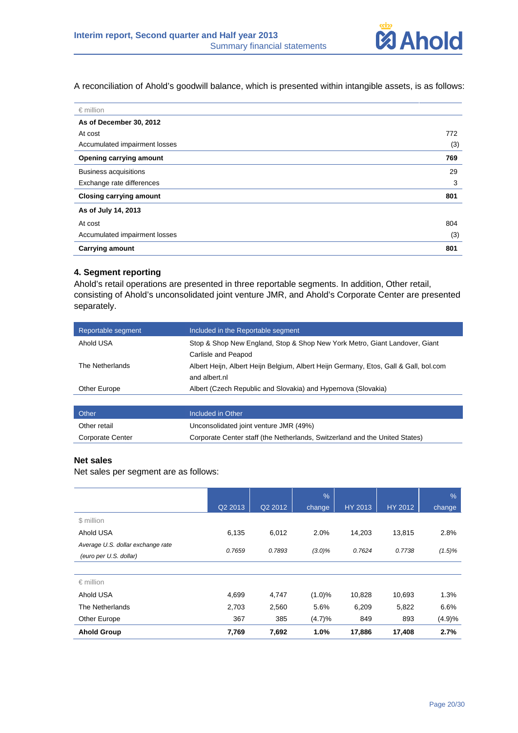

A reconciliation of Ahold's goodwill balance, which is presented within intangible assets, is as follows:

| $\epsilon$ million             |     |
|--------------------------------|-----|
| As of December 30, 2012        |     |
| At cost                        | 772 |
| Accumulated impairment losses  | (3) |
| Opening carrying amount        | 769 |
| <b>Business acquisitions</b>   | 29  |
| Exchange rate differences      | 3   |
| <b>Closing carrying amount</b> | 801 |
| As of July 14, 2013            |     |
| At cost                        | 804 |
| Accumulated impairment losses  | (3) |
| <b>Carrying amount</b>         | 801 |

### **4. Segment reporting**

Ahold's retail operations are presented in three reportable segments. In addition, Other retail, consisting of Ahold's unconsolidated joint venture JMR, and Ahold's Corporate Center are presented separately.

| Reportable segment      | Included in the Reportable segment                                                                    |
|-------------------------|-------------------------------------------------------------------------------------------------------|
| Ahold USA               | Stop & Shop New England, Stop & Shop New York Metro, Giant Landover, Giant<br>Carlisle and Peapod     |
| The Netherlands         | Albert Heijn, Albert Heijn Belgium, Albert Heijn Germany, Etos, Gall & Gall, bol.com<br>and albert.nl |
| Other Europe            | Albert (Czech Republic and Slovakia) and Hypernova (Slovakia)                                         |
|                         |                                                                                                       |
| Other                   | Included in Other                                                                                     |
| Other retail            | Unconsolidated joint venture JMR (49%)                                                                |
| <b>Corporate Center</b> | Corporate Center staff (the Netherlands, Switzerland and the United States)                           |

### **Net sales**

Net sales per segment are as follows:

|                                   |         |         | $\frac{9}{6}$ |         |                | $\frac{9}{6}$ |
|-----------------------------------|---------|---------|---------------|---------|----------------|---------------|
|                                   | Q2 2013 | Q2 2012 | change        | HY 2013 | <b>HY 2012</b> | change        |
| \$ million                        |         |         |               |         |                |               |
| Ahold USA                         | 6,135   | 6,012   | 2.0%          | 14,203  | 13,815         | 2.8%          |
| Average U.S. dollar exchange rate | 0.7659  | 0.7893  | $(3.0)\%$     | 0.7624  | 0.7738         | $(1.5)\%$     |
| (euro per U.S. dollar)            |         |         |               |         |                |               |
|                                   |         |         |               |         |                |               |
| $\epsilon$ million                |         |         |               |         |                |               |
| Ahold USA                         | 4,699   | 4,747   | (1.0)%        | 10,828  | 10,693         | 1.3%          |
| The Netherlands                   | 2,703   | 2,560   | 5.6%          | 6,209   | 5,822          | 6.6%          |
| Other Europe                      | 367     | 385     | (4.7)%        | 849     | 893            | (4.9)%        |
| <b>Ahold Group</b>                | 7,769   | 7,692   | 1.0%          | 17,886  | 17,408         | 2.7%          |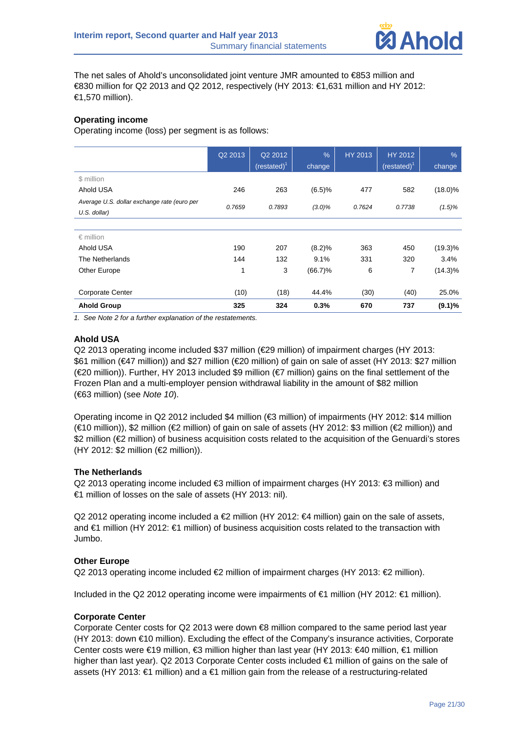

The net sales of Ahold's unconsolidated joint venture JMR amounted to €853 million and €830 million for Q2 2013 and Q2 2012, respectively (HY 2013: €1,631 million and HY 2012: €1,570 million).

### **Operating income**

Operating income (loss) per segment is as follows:

|                                                               | Q2 2013 | Q2 2012<br>$(restated)^1$ | $\frac{9}{6}$<br>change | HY 2013 | <b>HY 2012</b><br>(restated) $1$ | $\frac{9}{6}$<br>change |
|---------------------------------------------------------------|---------|---------------------------|-------------------------|---------|----------------------------------|-------------------------|
| \$ million                                                    |         |                           |                         |         |                                  |                         |
| Ahold USA                                                     | 246     | 263                       | (6.5)%                  | 477     | 582                              | $(18.0)\%$              |
| Average U.S. dollar exchange rate (euro per<br>$U.S.$ dollar) | 0.7659  | 0.7893                    | $(3.0)\%$               | 0.7624  | 0.7738                           | $(1.5)\%$               |
|                                                               |         |                           |                         |         |                                  |                         |
| $\epsilon$ million                                            |         |                           |                         |         |                                  |                         |
| Ahold USA                                                     | 190     | 207                       | (8.2)%                  | 363     | 450                              | $(19.3)\%$              |
| The Netherlands                                               | 144     | 132                       | 9.1%                    | 331     | 320                              | 3.4%                    |
| Other Europe                                                  | 1       | 3                         | $(66.7)\%$              | 6       | 7                                | $(14.3)\%$              |
| <b>Corporate Center</b>                                       | (10)    | (18)                      | 44.4%                   | (30)    | (40)                             | 25.0%                   |
| <b>Ahold Group</b>                                            | 325     | 324                       | 0.3%                    | 670     | 737                              | (9.1)%                  |

*1. See Note 2 for a further explanation of the restatements.* 

### **Ahold USA**

Q2 2013 operating income included \$37 million (€29 million) of impairment charges (HY 2013: \$61 million (€47 million)) and \$27 million (€20 million) of gain on sale of asset (HY 2013: \$27 million (€20 million)). Further, HY 2013 included \$9 million (€7 million) gains on the final settlement of the Frozen Plan and a multi-employer pension withdrawal liability in the amount of \$82 million (€63 million) (see *Note 10*).

Operating income in Q2 2012 included \$4 million (€3 million) of impairments (HY 2012: \$14 million (€10 million)), \$2 million (€2 million) of gain on sale of assets (HY 2012: \$3 million (€2 million)) and \$2 million (€2 million) of business acquisition costs related to the acquisition of the Genuardi's stores (HY 2012: \$2 million (€2 million)).

### **The Netherlands**

Q2 2013 operating income included €3 million of impairment charges (HY 2013: €3 million) and €1 million of losses on the sale of assets (HY 2013: nil).

Q2 2012 operating income included a €2 million (HY 2012: €4 million) gain on the sale of assets, and €1 million (HY 2012: €1 million) of business acquisition costs related to the transaction with Jumbo.

### **Other Europe**

Q2 2013 operating income included  $€2$  million of impairment charges (HY 2013: €2 million).

Included in the Q2 2012 operating income were impairments of €1 million (HY 2012: €1 million).

### **Corporate Center**

Corporate Center costs for Q2 2013 were down €8 million compared to the same period last year (HY 2013: down €10 million). Excluding the effect of the Company's insurance activities, Corporate Center costs were €19 million, €3 million higher than last year (HY 2013: €40 million, €1 million higher than last year). Q2 2013 Corporate Center costs included €1 million of gains on the sale of assets (HY 2013: €1 million) and a €1 million gain from the release of a restructuring-related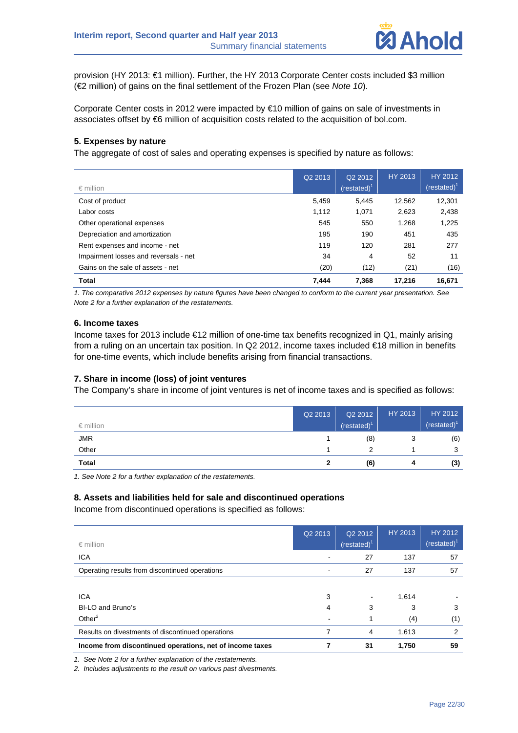

provision (HY 2013: €1 million). Further, the HY 2013 Corporate Center costs included \$3 million (€2 million) of gains on the final settlement of the Frozen Plan (see *Note 10*).

Corporate Center costs in 2012 were impacted by €10 million of gains on sale of investments in associates offset by €6 million of acquisition costs related to the acquisition of bol.com.

### **5. Expenses by nature**

The aggregate of cost of sales and operating expenses is specified by nature as follows:

| $\epsilon$ million                    | Q2 2013 | Q2 2012<br>(restated) $^1$ | HY 2013 | HY 2012<br>(restated) $^1$ |
|---------------------------------------|---------|----------------------------|---------|----------------------------|
| Cost of product                       | 5,459   | 5.445                      | 12,562  | 12,301                     |
| Labor costs                           | 1,112   | 1,071                      | 2,623   | 2,438                      |
| Other operational expenses            | 545     | 550                        | 1,268   | 1,225                      |
| Depreciation and amortization         | 195     | 190                        | 451     | 435                        |
| Rent expenses and income - net        | 119     | 120                        | 281     | 277                        |
| Impairment losses and reversals - net | 34      | 4                          | 52      | 11                         |
| Gains on the sale of assets - net     | (20)    | (12)                       | (21)    | (16)                       |
| <b>Total</b>                          | 7,444   | 7.368                      | 17.216  | 16.671                     |

*1. The comparative 2012 expenses by nature figures have been changed to conform to the current year presentation. See Note 2 for a further explanation of the restatements.* 

### **6. Income taxes**

Income taxes for 2013 include €12 million of one-time tax benefits recognized in Q1, mainly arising from a ruling on an uncertain tax position. In Q2 2012, income taxes included €18 million in benefits for one-time events, which include benefits arising from financial transactions.

### **7. Share in income (loss) of joint ventures**

The Company's share in income of joint ventures is net of income taxes and is specified as follows:

| $\epsilon$ million | Q2 2013 | Q2 2012<br>$(restated)^1$ | HY 2013 | HY 2012<br>(restated) |
|--------------------|---------|---------------------------|---------|-----------------------|
| <b>JMR</b>         |         | (8)                       | 3       | (6)                   |
| Other              |         |                           |         | 3                     |
| Total              |         | (6)                       | 4       | (3)                   |

*1. See Note 2 for a further explanation of the restatements.* 

### **8. Assets and liabilities held for sale and discontinued operations**

Income from discontinued operations is specified as follows:

|                                                          | Q2 2013 | Q2 2012                  | HY 2013 | HY 2012                 |
|----------------------------------------------------------|---------|--------------------------|---------|-------------------------|
| $\epsilon$ million                                       |         | (restated) $^1$          |         | (restated) <sup>1</sup> |
| <b>ICA</b>                                               |         | 27                       | 137     | 57                      |
| Operating results from discontinued operations           | -       | 27                       | 137     | 57                      |
|                                                          |         |                          |         |                         |
| <b>ICA</b>                                               | 3       | $\overline{\phantom{a}}$ | 1.614   |                         |
| BI-LO and Bruno's                                        | 4       | 3                        | 3       | 3                       |
| Other $^2$                                               |         |                          | (4)     | (1)                     |
| Results on divestments of discontinued operations        |         | 4                        | 1,613   | 2                       |
| Income from discontinued operations, net of income taxes |         | 31                       | 1,750   | 59                      |

*1. See Note 2 for a further explanation of the restatements.* 

*2. Includes adjustments to the result on various past divestments.*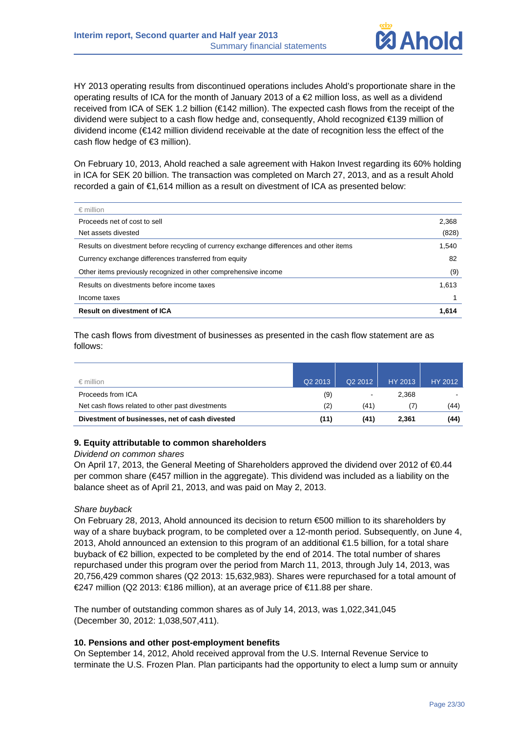

HY 2013 operating results from discontinued operations includes Ahold's proportionate share in the operating results of ICA for the month of January 2013 of a €2 million loss, as well as a dividend received from ICA of SEK 1.2 billion (€142 million). The expected cash flows from the receipt of the dividend were subject to a cash flow hedge and, consequently, Ahold recognized €139 million of dividend income (€142 million dividend receivable at the date of recognition less the effect of the cash flow hedge of €3 million).

On February 10, 2013, Ahold reached a sale agreement with Hakon Invest regarding its 60% holding in ICA for SEK 20 billion. The transaction was completed on March 27, 2013, and as a result Ahold recorded a gain of €1,614 million as a result on divestment of ICA as presented below:

| $\epsilon$ million                                                                      |       |
|-----------------------------------------------------------------------------------------|-------|
| Proceeds net of cost to sell                                                            | 2,368 |
| Net assets divested                                                                     | (828) |
| Results on divestment before recycling of currency exchange differences and other items | 1.540 |
| Currency exchange differences transferred from equity                                   | 82    |
| Other items previously recognized in other comprehensive income                         | (9)   |
| Results on divestments before income taxes                                              | 1.613 |
| Income taxes                                                                            |       |
| <b>Result on divestment of ICA</b>                                                      | 1,614 |

The cash flows from divestment of businesses as presented in the cash flow statement are as follows:

| $\epsilon$ million                               | Q2 2013 | Q <sub>2</sub> 2012 | HY 2013 | HY 2012 |
|--------------------------------------------------|---------|---------------------|---------|---------|
| Proceeds from ICA                                | (9)     |                     | 2,368   |         |
| Net cash flows related to other past divestments | (2)     | (41)                |         | (44)    |
| Divestment of businesses, net of cash divested   | (11)    | (41)                | 2.361   | (44)    |

### **9. Equity attributable to common shareholders**

### *Dividend on common shares*

On April 17, 2013, the General Meeting of Shareholders approved the dividend over 2012 of €0.44 per common share (€457 million in the aggregate). This dividend was included as a liability on the balance sheet as of April 21, 2013, and was paid on May 2, 2013.

### *Share buyback*

On February 28, 2013, Ahold announced its decision to return €500 million to its shareholders by way of a share buyback program, to be completed over a 12-month period. Subsequently, on June 4, 2013, Ahold announced an extension to this program of an additional €1.5 billion, for a total share buyback of €2 billion, expected to be completed by the end of 2014. The total number of shares repurchased under this program over the period from March 11, 2013, through July 14, 2013, was 20,756,429 common shares (Q2 2013: 15,632,983). Shares were repurchased for a total amount of €247 million (Q2 2013: €186 million), at an average price of €11.88 per share.

The number of outstanding common shares as of July 14, 2013, was 1,022,341,045 (December 30, 2012: 1,038,507,411).

### **10. Pensions and other post-employment benefits**

On September 14, 2012, Ahold received approval from the U.S. Internal Revenue Service to terminate the U.S. Frozen Plan. Plan participants had the opportunity to elect a lump sum or annuity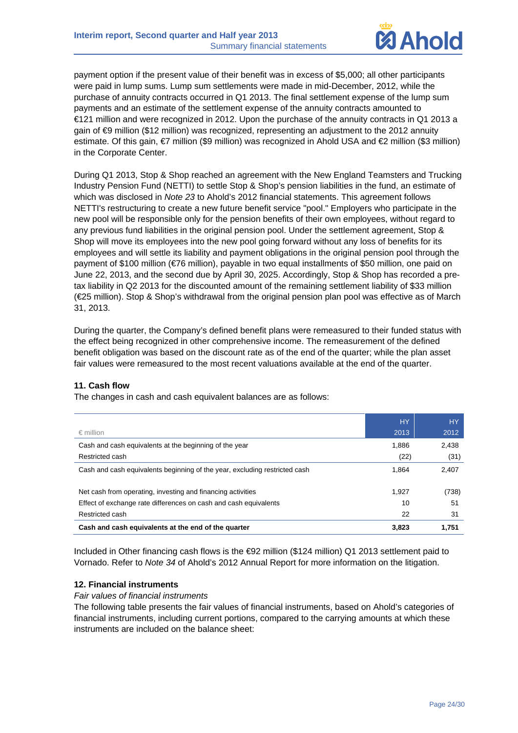

payment option if the present value of their benefit was in excess of \$5,000; all other participants were paid in lump sums. Lump sum settlements were made in mid-December, 2012, while the purchase of annuity contracts occurred in Q1 2013. The final settlement expense of the lump sum payments and an estimate of the settlement expense of the annuity contracts amounted to €121 million and were recognized in 2012. Upon the purchase of the annuity contracts in Q1 2013 a gain of €9 million (\$12 million) was recognized, representing an adjustment to the 2012 annuity estimate. Of this gain, *€*7 million (\$9 million) was recognized in Ahold USA and €2 million (\$3 million) in the Corporate Center.

During Q1 2013, Stop & Shop reached an agreement with the New England Teamsters and Trucking Industry Pension Fund (NETTI) to settle Stop & Shop's pension liabilities in the fund, an estimate of which was disclosed in *Note 23* to Ahold's 2012 financial statements. This agreement follows NETTI's restructuring to create a new future benefit service "pool." Employers who participate in the new pool will be responsible only for the pension benefits of their own employees, without regard to any previous fund liabilities in the original pension pool. Under the settlement agreement, Stop & Shop will move its employees into the new pool going forward without any loss of benefits for its employees and will settle its liability and payment obligations in the original pension pool through the payment of \$100 million (€76 million), payable in two equal installments of \$50 million, one paid on June 22, 2013, and the second due by April 30, 2025. Accordingly, Stop & Shop has recorded a pretax liability in Q2 2013 for the discounted amount of the remaining settlement liability of \$33 million (€25 million). Stop & Shop's withdrawal from the original pension plan pool was effective as of March 31, 2013.

During the quarter, the Company's defined benefit plans were remeasured to their funded status with the effect being recognized in other comprehensive income. The remeasurement of the defined benefit obligation was based on the discount rate as of the end of the quarter; while the plan asset fair values were remeasured to the most recent valuations available at the end of the quarter.

### **11. Cash flow**

The changes in cash and cash equivalent balances are as follows:

|                                                                            | <b>HY</b> | <b>HY</b> |
|----------------------------------------------------------------------------|-----------|-----------|
| $\epsilon$ million                                                         | 2013      | 2012      |
| Cash and cash equivalents at the beginning of the year                     | 1,886     | 2,438     |
| Restricted cash                                                            | (22)      | (31)      |
| Cash and cash equivalents beginning of the year, excluding restricted cash | 1.864     | 2,407     |
| Net cash from operating, investing and financing activities                | 1,927     | (738)     |
| Effect of exchange rate differences on cash and cash equivalents           | 10        | 51        |
| Restricted cash                                                            | 22        | 31        |
| Cash and cash equivalents at the end of the quarter                        | 3.823     | 1.751     |

Included in Other financing cash flows is the €92 million (\$124 million) Q1 2013 settlement paid to Vornado. Refer to *Note 34* of Ahold's 2012 Annual Report for more information on the litigation.

### **12. Financial instruments**

*Fair values of financial instruments* 

The following table presents the fair values of financial instruments, based on Ahold's categories of financial instruments, including current portions, compared to the carrying amounts at which these instruments are included on the balance sheet: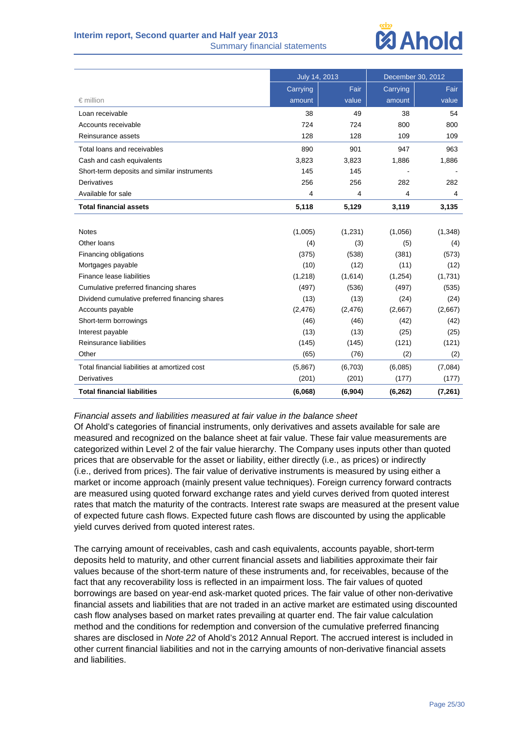### **Interim report, Second quarter and Half year 2013**

Summary financial statements

## **MAhold**

|                                                | July 14, 2013 |          | December 30, 2012 |          |  |
|------------------------------------------------|---------------|----------|-------------------|----------|--|
|                                                | Carrying      | Fair     | Carrying          | Fair     |  |
| $\epsilon$ million                             | amount        | value    | amount            | value    |  |
| Loan receivable                                | 38            | 49       | 38                | 54       |  |
| Accounts receivable                            | 724           | 724      | 800               | 800      |  |
| Reinsurance assets                             | 128           | 128      | 109               | 109      |  |
| Total loans and receivables                    | 890           | 901      | 947               | 963      |  |
| Cash and cash equivalents                      | 3,823         | 3,823    | 1,886             | 1,886    |  |
| Short-term deposits and similar instruments    | 145           | 145      |                   |          |  |
| <b>Derivatives</b>                             | 256           | 256      | 282               | 282      |  |
| Available for sale                             | 4             | 4        | 4                 | 4        |  |
| <b>Total financial assets</b>                  | 5,118         | 5,129    | 3,119             | 3,135    |  |
|                                                |               |          |                   |          |  |
| <b>Notes</b>                                   | (1,005)       | (1,231)  | (1,056)           | (1,348)  |  |
| Other Ioans                                    | (4)           | (3)      | (5)               | (4)      |  |
| Financing obligations                          | (375)         | (538)    | (381)             | (573)    |  |
| Mortgages payable                              | (10)          | (12)     | (11)              | (12)     |  |
| Finance lease liabilities                      | (1,218)       | (1,614)  | (1,254)           | (1,731)  |  |
| Cumulative preferred financing shares          | (497)         | (536)    | (497)             | (535)    |  |
| Dividend cumulative preferred financing shares | (13)          | (13)     | (24)              | (24)     |  |
| Accounts payable                               | (2, 476)      | (2, 476) | (2,667)           | (2,667)  |  |
| Short-term borrowings                          | (46)          | (46)     | (42)              | (42)     |  |
| Interest payable                               | (13)          | (13)     | (25)              | (25)     |  |
| Reinsurance liabilities                        | (145)         | (145)    | (121)             | (121)    |  |
| Other                                          | (65)          | (76)     | (2)               | (2)      |  |
| Total financial liabilities at amortized cost  | (5,867)       | (6,703)  | (6,085)           | (7,084)  |  |
| <b>Derivatives</b>                             | (201)         | (201)    | (177)             | (177)    |  |
| <b>Total financial liabilities</b>             | (6,068)       | (6,904)  | (6, 262)          | (7, 261) |  |

### *Financial assets and liabilities measured at fair value in the balance sheet*

Of Ahold's categories of financial instruments, only derivatives and assets available for sale are measured and recognized on the balance sheet at fair value. These fair value measurements are categorized within Level 2 of the fair value hierarchy. The Company uses inputs other than quoted prices that are observable for the asset or liability, either directly (i.e., as prices) or indirectly (i.e., derived from prices). The fair value of derivative instruments is measured by using either a market or income approach (mainly present value techniques). Foreign currency forward contracts are measured using quoted forward exchange rates and yield curves derived from quoted interest rates that match the maturity of the contracts. Interest rate swaps are measured at the present value of expected future cash flows. Expected future cash flows are discounted by using the applicable yield curves derived from quoted interest rates.

The carrying amount of receivables, cash and cash equivalents, accounts payable, short-term deposits held to maturity, and other current financial assets and liabilities approximate their fair values because of the short-term nature of these instruments and, for receivables, because of the fact that any recoverability loss is reflected in an impairment loss. The fair values of quoted borrowings are based on year-end ask-market quoted prices. The fair value of other non-derivative financial assets and liabilities that are not traded in an active market are estimated using discounted cash flow analyses based on market rates prevailing at quarter end. The fair value calculation method and the conditions for redemption and conversion of the cumulative preferred financing shares are disclosed in *Note 22* of Ahold's 2012 Annual Report. The accrued interest is included in other current financial liabilities and not in the carrying amounts of non-derivative financial assets and liabilities.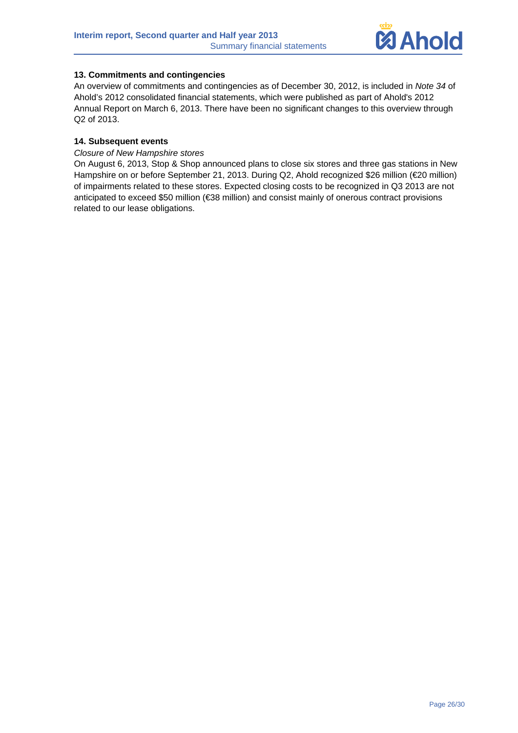

### **13. Commitments and contingencies**

An overview of commitments and contingencies as of December 30, 2012, is included in *Note 34* of Ahold's 2012 consolidated financial statements, which were published as part of Ahold's 2012 Annual Report on March 6, 2013. There have been no significant changes to this overview through Q2 of 2013.

### **14. Subsequent events**

### *Closure of New Hampshire stores*

On August 6, 2013, Stop & Shop announced plans to close six stores and three gas stations in New Hampshire on or before September 21, 2013. During Q2, Ahold recognized \$26 million (€20 million) of impairments related to these stores. Expected closing costs to be recognized in Q3 2013 are not anticipated to exceed \$50 million (€38 million) and consist mainly of onerous contract provisions related to our lease obligations.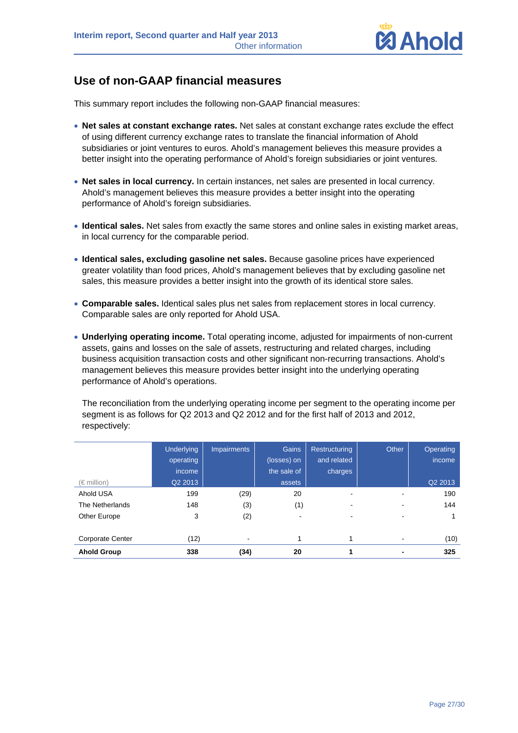

## **Use of non-GAAP financial measures**

This summary report includes the following non-GAAP financial measures:

- **Net sales at constant exchange rates.** Net sales at constant exchange rates exclude the effect of using different currency exchange rates to translate the financial information of Ahold subsidiaries or joint ventures to euros. Ahold's management believes this measure provides a better insight into the operating performance of Ahold's foreign subsidiaries or joint ventures.
- **Net sales in local currency.** In certain instances, net sales are presented in local currency. Ahold's management believes this measure provides a better insight into the operating performance of Ahold's foreign subsidiaries.
- **Identical sales.** Net sales from exactly the same stores and online sales in existing market areas, in local currency for the comparable period.
- **Identical sales, excluding gasoline net sales.** Because gasoline prices have experienced greater volatility than food prices, Ahold's management believes that by excluding gasoline net sales, this measure provides a better insight into the growth of its identical store sales.
- **Comparable sales.** Identical sales plus net sales from replacement stores in local currency. Comparable sales are only reported for Ahold USA.
- **Underlying operating income.** Total operating income, adjusted for impairments of non-current assets, gains and losses on the sale of assets, restructuring and related charges, including business acquisition transaction costs and other significant non-recurring transactions. Ahold's management believes this measure provides better insight into the underlying operating performance of Ahold's operations.

The reconciliation from the underlying operating income per segment to the operating income per segment is as follows for Q2 2013 and Q2 2012 and for the first half of 2013 and 2012, respectively:

|                         | <b>Underlying</b><br>operating<br>income | <b>Impairments</b> | <b>Gains</b><br>(losses) on<br>the sale of | <b>Restructuring</b><br>and related<br>charges | Other | Operating<br>income |
|-------------------------|------------------------------------------|--------------------|--------------------------------------------|------------------------------------------------|-------|---------------------|
| $(\in$ million)         | Q2 2013                                  |                    | assets                                     |                                                |       | Q2 2013             |
| Ahold USA               | 199                                      | (29)               | 20                                         |                                                |       | 190                 |
| The Netherlands         | 148                                      | (3)                | (1)                                        |                                                |       | 144                 |
| Other Europe            | 3                                        | (2)                |                                            |                                                |       | 1                   |
| <b>Corporate Center</b> | (12)                                     |                    |                                            |                                                |       | (10)                |
| <b>Ahold Group</b>      | 338                                      | (34)               | 20                                         |                                                |       | 325                 |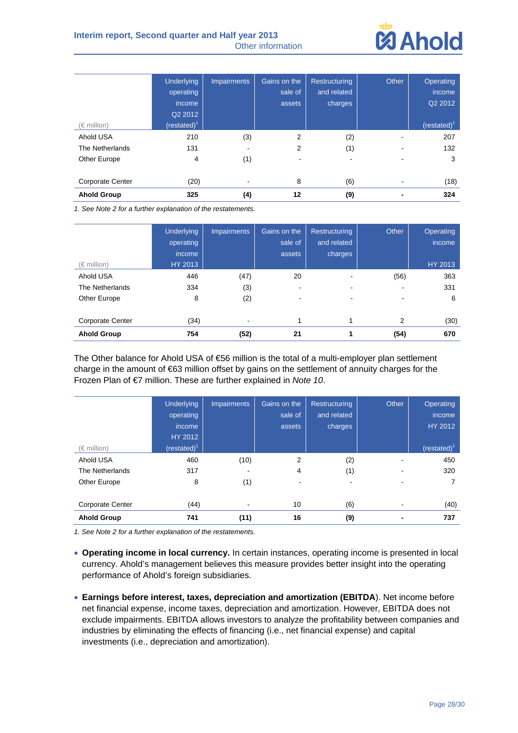

|                         | <b>Underlying</b> | <b>Impairments</b> | Gains on the | <b>Restructuring</b> | Other | Operating      |
|-------------------------|-------------------|--------------------|--------------|----------------------|-------|----------------|
|                         | operating         |                    | sale of      | and related          |       | income         |
|                         | income            |                    | assets       | charges              |       | Q2 2012        |
|                         | Q2 2012           |                    |              |                      |       |                |
| (€ million)             | $(rested)^1$      |                    |              |                      |       | $(restated)^T$ |
| Ahold USA               | 210               | (3)                | 2            | (2)                  |       | 207            |
| The Netherlands         | 131               |                    | 2            | (1)                  |       | 132            |
| Other Europe            | 4                 | (1)                |              |                      |       | 3              |
| <b>Corporate Center</b> | (20)              |                    | 8            | (6)                  |       | (18)           |
| <b>Ahold Group</b>      | 325               | (4)                | 12           | (9)                  |       | 324            |

*1. See Note 2 for a further explanation of the restatements.* 

|                         | <b>Underlying</b><br>operating<br>income | <b>Impairments</b> | Gains on the<br>sale of<br>assets | <b>Restructuring</b><br>and related<br>charges | Other | Operating<br>income |
|-------------------------|------------------------------------------|--------------------|-----------------------------------|------------------------------------------------|-------|---------------------|
| $(\in$ million)         | HY 2013                                  |                    |                                   |                                                |       | HY 2013             |
| Ahold USA               | 446                                      | (47)               | 20                                |                                                | (56)  | 363                 |
| The Netherlands         | 334                                      | (3)                |                                   |                                                |       | 331                 |
| Other Europe            | 8                                        | (2)                |                                   |                                                |       | 6                   |
| <b>Corporate Center</b> | (34)                                     |                    |                                   |                                                | 2     | (30)                |
| <b>Ahold Group</b>      | 754                                      | (52)               | 21                                |                                                | (54)  | 670                 |

The Other balance for Ahold USA of €56 million is the total of a multi-employer plan settlement charge in the amount of €63 million offset by gains on the settlement of annuity charges for the Frozen Plan of €7 million. These are further explained in *Note 10*.

|                         | <b>Underlying</b><br>operating<br>income<br><b>HY 2012</b> | <b>Impairments</b> | Gains on the<br>sale of<br>assets | <b>Restructuring</b><br>and related<br>charges | Other | Operating<br>income<br><b>HY 2012</b> |
|-------------------------|------------------------------------------------------------|--------------------|-----------------------------------|------------------------------------------------|-------|---------------------------------------|
| $(\in$ million)         | (restated) $1$                                             |                    |                                   |                                                |       | (restated) $1$                        |
| Ahold USA               | 460                                                        | (10)               | 2                                 | (2)                                            |       | 450                                   |
| The Netherlands         | 317                                                        |                    | 4                                 | (1)                                            |       | 320                                   |
| Other Europe            | 8                                                          | (1)                |                                   |                                                |       |                                       |
| <b>Corporate Center</b> | (44)                                                       |                    | 10                                | (6)                                            |       | (40)                                  |
| <b>Ahold Group</b>      | 741                                                        | (11)               | 16                                | (9)                                            |       | 737                                   |

- **Operating income in local currency.** In certain instances, operating income is presented in local currency. Ahold's management believes this measure provides better insight into the operating performance of Ahold's foreign subsidiaries.
- **Earnings before interest, taxes, depreciation and amortization (EBITDA**). Net income before net financial expense, income taxes, depreciation and amortization. However, EBITDA does not exclude impairments. EBITDA allows investors to analyze the profitability between companies and industries by eliminating the effects of financing (i.e., net financial expense) and capital investments (i.e., depreciation and amortization).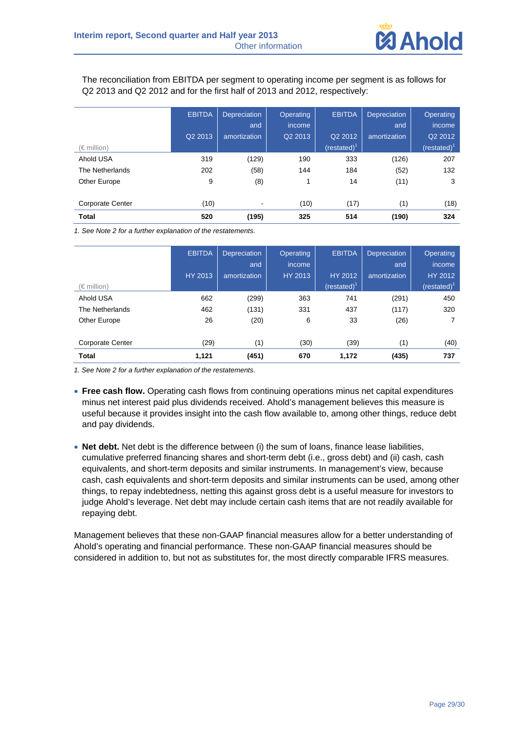

The reconciliation from EBITDA per segment to operating income per segment is as follows for Q2 2013 and Q2 2012 and for the first half of 2013 and 2012, respectively:

|                         | <b>EBITDA</b> | Depreciation<br>and | Operating<br>income | <b>EBITDA</b>              | <b>Depreciation</b><br>and | Operating<br>income        |
|-------------------------|---------------|---------------------|---------------------|----------------------------|----------------------------|----------------------------|
| (€ million)             | Q2 2013       | amortization        | Q2 2013             | Q2 2012<br>(restated) $^1$ | amortization               | Q2 2012<br>(restated) $^1$ |
|                         |               |                     |                     |                            |                            |                            |
| Ahold USA               | 319           | (129)               | 190                 | 333                        | (126)                      | 207                        |
| The Netherlands         | 202           | (58)                | 144                 | 184                        | (52)                       | 132                        |
| Other Europe            | 9             | (8)                 | 1                   | 14                         | (11)                       | 3                          |
| <b>Corporate Center</b> | (10)          |                     | (10)                | (17)                       | (1)                        | (18)                       |
| <b>Total</b>            | 520           | (195)               | 325                 | 514                        | (190)                      | 324                        |

*1. See Note 2 for a further explanation of the restatements.* 

|                         | <b>EBITDA</b>  | <b>Depreciation</b> | Operating | <b>EBITDA</b>   | <b>Depreciation</b> | <b>Operating</b> |
|-------------------------|----------------|---------------------|-----------|-----------------|---------------------|------------------|
|                         |                | and                 | income    |                 | and                 | income           |
|                         | <b>HY 2013</b> | amortization        | HY 2013   | <b>HY 2012</b>  | amortization        | HY 2012          |
| (€ million)             |                |                     |           | (restated) $^1$ |                     | (restated) $^1$  |
| Ahold USA               | 662            | (299)               | 363       | 741             | (291)               | 450              |
| The Netherlands         | 462            | (131)               | 331       | 437             | (117)               | 320              |
| Other Europe            | 26             | (20)                | 6         | 33              | (26)                |                  |
| <b>Corporate Center</b> | (29)           | (1)                 | (30)      | (39)            | (1)                 | (40)             |
| <b>Total</b>            | 1,121          | (451)               | 670       | 1,172           | (435)               | 737              |

*1. See Note 2 for a further explanation of the restatements.* 

- **Free cash flow.** Operating cash flows from continuing operations minus net capital expenditures minus net interest paid plus dividends received. Ahold's management believes this measure is useful because it provides insight into the cash flow available to, among other things, reduce debt and pay dividends.
- **Net debt.** Net debt is the difference between (i) the sum of loans, finance lease liabilities, cumulative preferred financing shares and short-term debt (i.e., gross debt) and (ii) cash, cash equivalents, and short-term deposits and similar instruments. In management's view, because cash, cash equivalents and short-term deposits and similar instruments can be used, among other things, to repay indebtedness, netting this against gross debt is a useful measure for investors to judge Ahold's leverage. Net debt may include certain cash items that are not readily available for repaying debt.

Management believes that these non-GAAP financial measures allow for a better understanding of Ahold's operating and financial performance. These non-GAAP financial measures should be considered in addition to, but not as substitutes for, the most directly comparable IFRS measures.